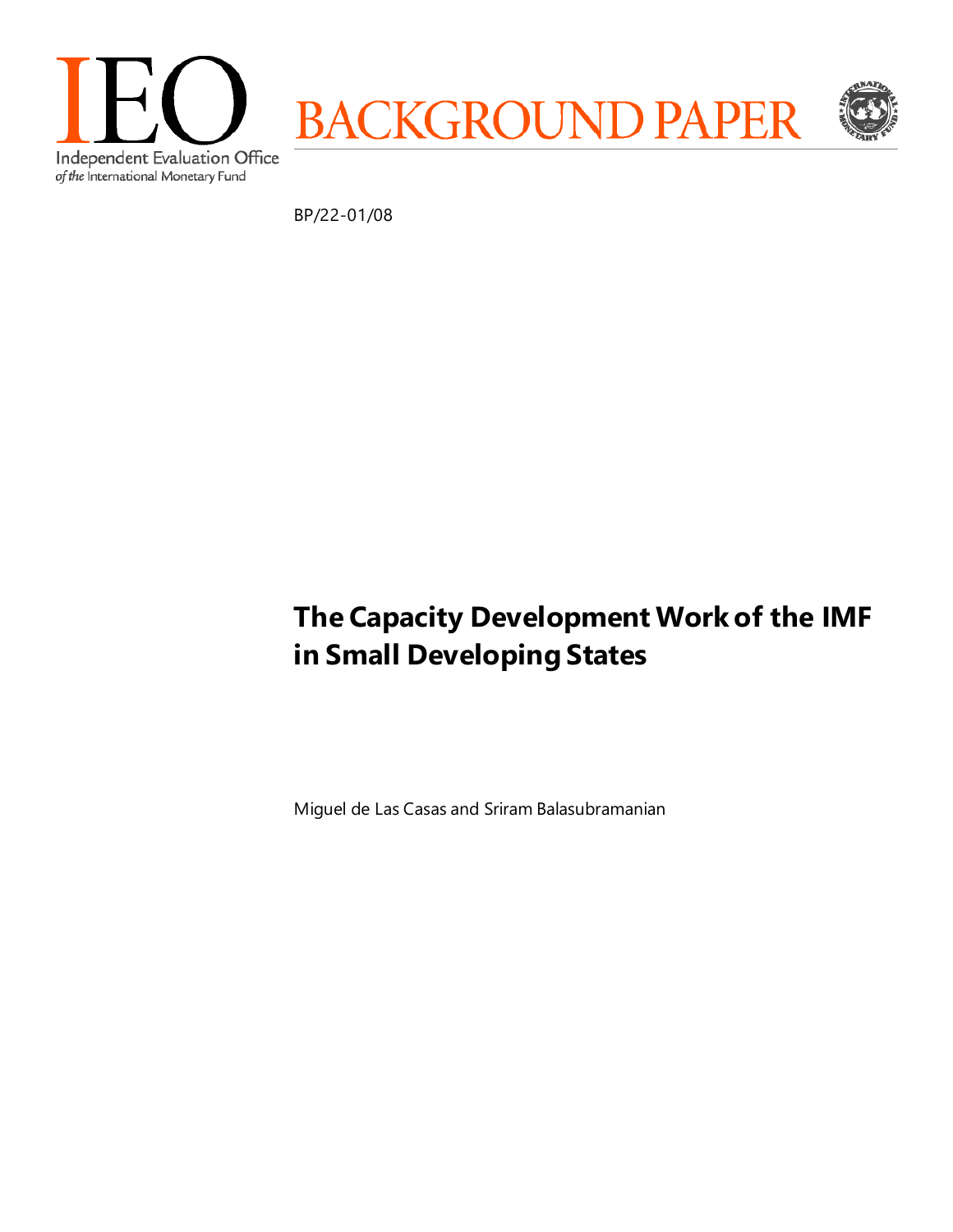

BP/22-01/08

# **The Capacity Development Work of the IMF in Small Developing States**

Miguel de Las Casas and Sriram Balasubramanian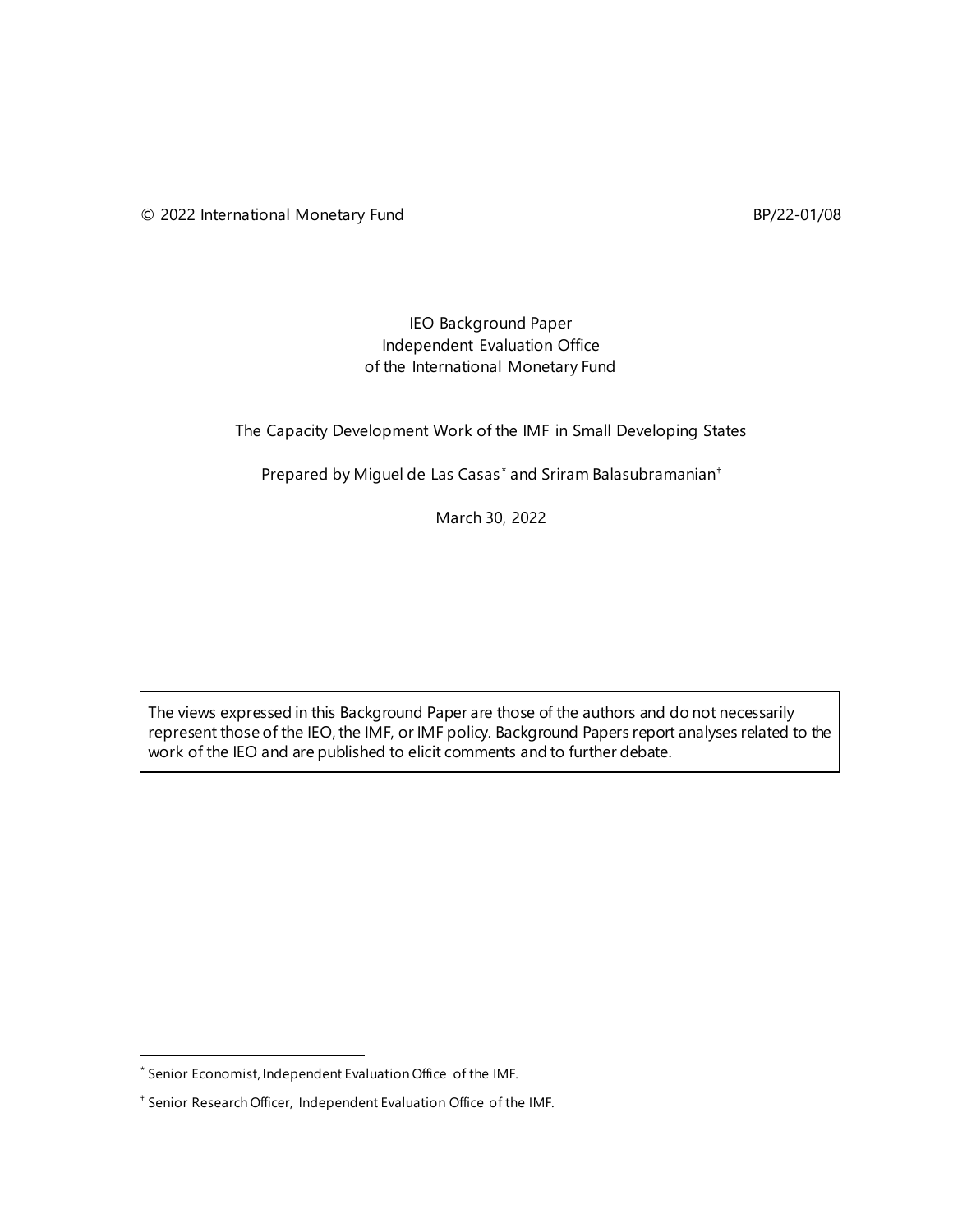## IEO Background Paper Independent Evaluation Office of the International Monetary Fund

The Capacity Development Work of the IMF in Small Developing States

Prepared by Miguel de Las Casas<sup>[\\*](#page-1-0)</sup> and Sriram Balasubramanian<sup>+</sup>

March 30, 2022

The views expressed in this Background Paper are those of the authors and do not necessarily represent those of the IEO, the IMF, or IMF policy. Background Papers report analyses related to the work of the IEO and are published to elicit comments and to further debate.

<span id="page-1-0"></span><sup>\*</sup> Senior Economist, Independent Evaluation Office of the IMF.

<span id="page-1-1"></span><sup>†</sup> Senior Research Officer, Independent Evaluation Office of the IMF.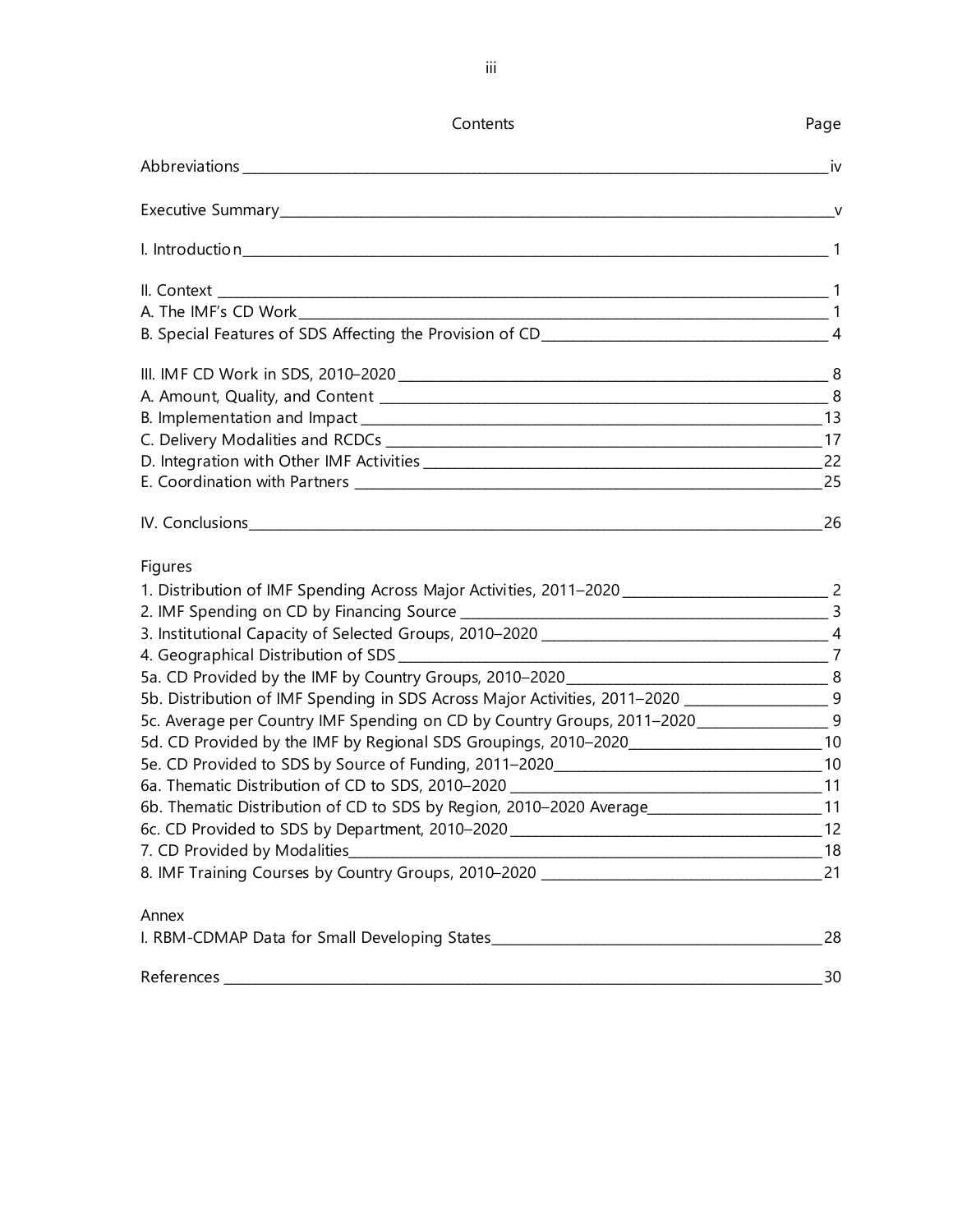| Contents                                                                                                                                                                                                                                                                                                                                                                                                                                                                                                               | Page |
|------------------------------------------------------------------------------------------------------------------------------------------------------------------------------------------------------------------------------------------------------------------------------------------------------------------------------------------------------------------------------------------------------------------------------------------------------------------------------------------------------------------------|------|
|                                                                                                                                                                                                                                                                                                                                                                                                                                                                                                                        | iv   |
|                                                                                                                                                                                                                                                                                                                                                                                                                                                                                                                        |      |
|                                                                                                                                                                                                                                                                                                                                                                                                                                                                                                                        |      |
|                                                                                                                                                                                                                                                                                                                                                                                                                                                                                                                        |      |
|                                                                                                                                                                                                                                                                                                                                                                                                                                                                                                                        |      |
|                                                                                                                                                                                                                                                                                                                                                                                                                                                                                                                        |      |
|                                                                                                                                                                                                                                                                                                                                                                                                                                                                                                                        |      |
|                                                                                                                                                                                                                                                                                                                                                                                                                                                                                                                        |      |
|                                                                                                                                                                                                                                                                                                                                                                                                                                                                                                                        |      |
|                                                                                                                                                                                                                                                                                                                                                                                                                                                                                                                        |      |
|                                                                                                                                                                                                                                                                                                                                                                                                                                                                                                                        |      |
|                                                                                                                                                                                                                                                                                                                                                                                                                                                                                                                        |      |
|                                                                                                                                                                                                                                                                                                                                                                                                                                                                                                                        |      |
| Figures<br>1. Distribution of IMF Spending Across Major Activities, 2011-2020 _________________________________ 2<br>5b. Distribution of IMF Spending in SDS Across Major Activities, 2011-2020 _______________________9<br>5c. Average per Country IMF Spending on CD by Country Groups, 2011-2020____________________9<br>5d. CD Provided by the IMF by Regional SDS Groupings, 2010-2020_________________________10<br>6b. Thematic Distribution of CD to SDS by Region, 2010-2020 Average_______________________11 |      |
| Annex                                                                                                                                                                                                                                                                                                                                                                                                                                                                                                                  |      |
|                                                                                                                                                                                                                                                                                                                                                                                                                                                                                                                        |      |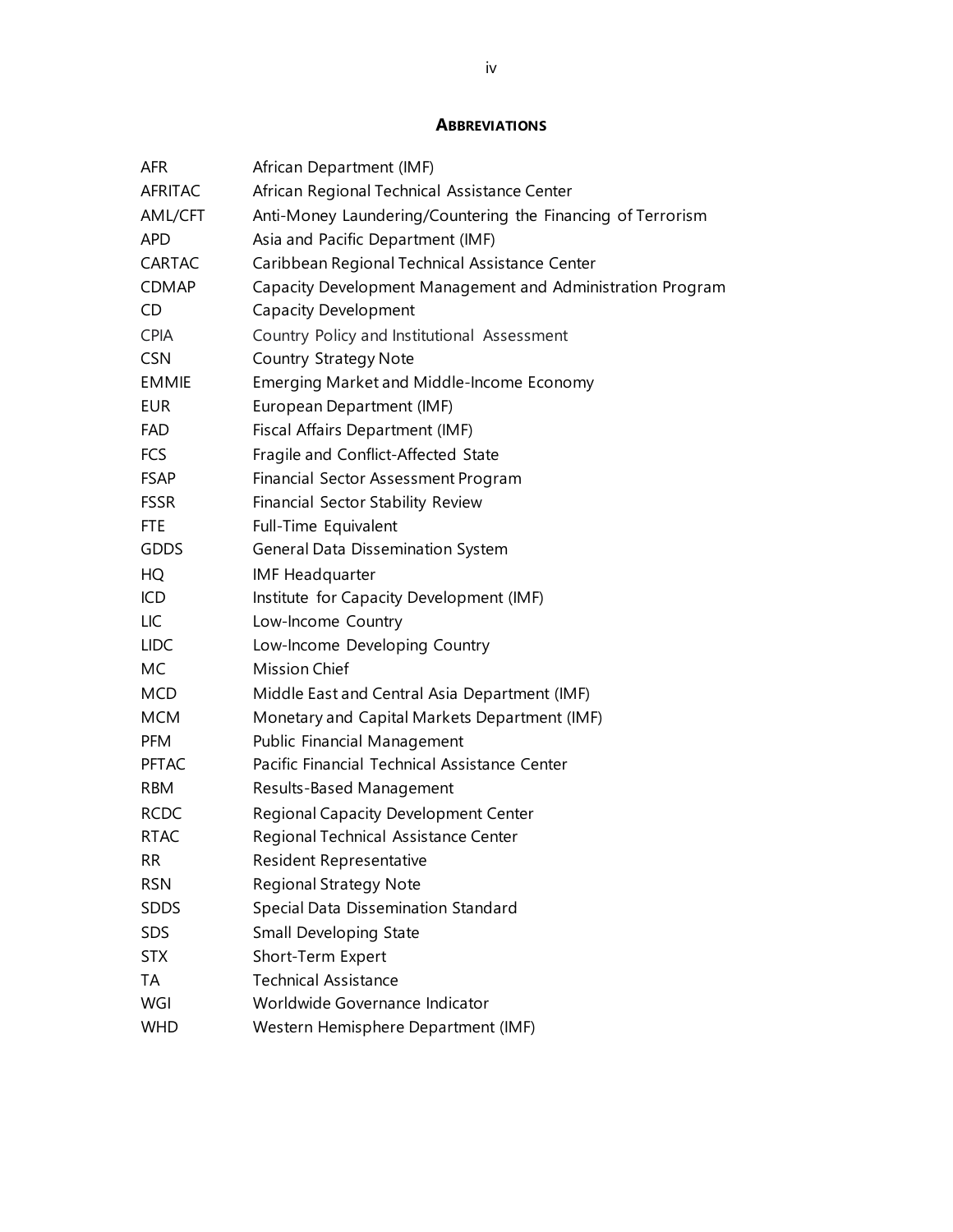## **ABBREVIATIONS**

| <b>AFR</b>     | African Department (IMF)                                    |
|----------------|-------------------------------------------------------------|
| <b>AFRITAC</b> | African Regional Technical Assistance Center                |
| AML/CFT        | Anti-Money Laundering/Countering the Financing of Terrorism |
| <b>APD</b>     | Asia and Pacific Department (IMF)                           |
| <b>CARTAC</b>  | Caribbean Regional Technical Assistance Center              |
| <b>CDMAP</b>   | Capacity Development Management and Administration Program  |
| CD             | <b>Capacity Development</b>                                 |
| <b>CPIA</b>    | Country Policy and Institutional Assessment                 |
| <b>CSN</b>     | <b>Country Strategy Note</b>                                |
| <b>EMMIE</b>   | Emerging Market and Middle-Income Economy                   |
| <b>EUR</b>     | European Department (IMF)                                   |
| <b>FAD</b>     | Fiscal Affairs Department (IMF)                             |
| <b>FCS</b>     | Fragile and Conflict-Affected State                         |
| <b>FSAP</b>    | Financial Sector Assessment Program                         |
| <b>FSSR</b>    | Financial Sector Stability Review                           |
| <b>FTE</b>     | Full-Time Equivalent                                        |
| <b>GDDS</b>    | General Data Dissemination System                           |
| HQ             | <b>IMF Headquarter</b>                                      |
| ICD            | Institute for Capacity Development (IMF)                    |
| LIC            | Low-Income Country                                          |
| <b>LIDC</b>    | Low-Income Developing Country                               |
| МC             | <b>Mission Chief</b>                                        |
| <b>MCD</b>     | Middle East and Central Asia Department (IMF)               |
| <b>MCM</b>     | Monetary and Capital Markets Department (IMF)               |
| <b>PFM</b>     | Public Financial Management                                 |
| <b>PFTAC</b>   | Pacific Financial Technical Assistance Center               |
| <b>RBM</b>     | Results-Based Management                                    |
| <b>RCDC</b>    | Regional Capacity Development Center                        |
| <b>RTAC</b>    | Regional Technical Assistance Center                        |
| RR             | Resident Representative                                     |
| <b>RSN</b>     | <b>Regional Strategy Note</b>                               |
| <b>SDDS</b>    | Special Data Dissemination Standard                         |
| SDS            | Small Developing State                                      |
| <b>STX</b>     | Short-Term Expert                                           |
| TA             | <b>Technical Assistance</b>                                 |
| WGI            | Worldwide Governance Indicator                              |
| <b>WHD</b>     | Western Hemisphere Department (IMF)                         |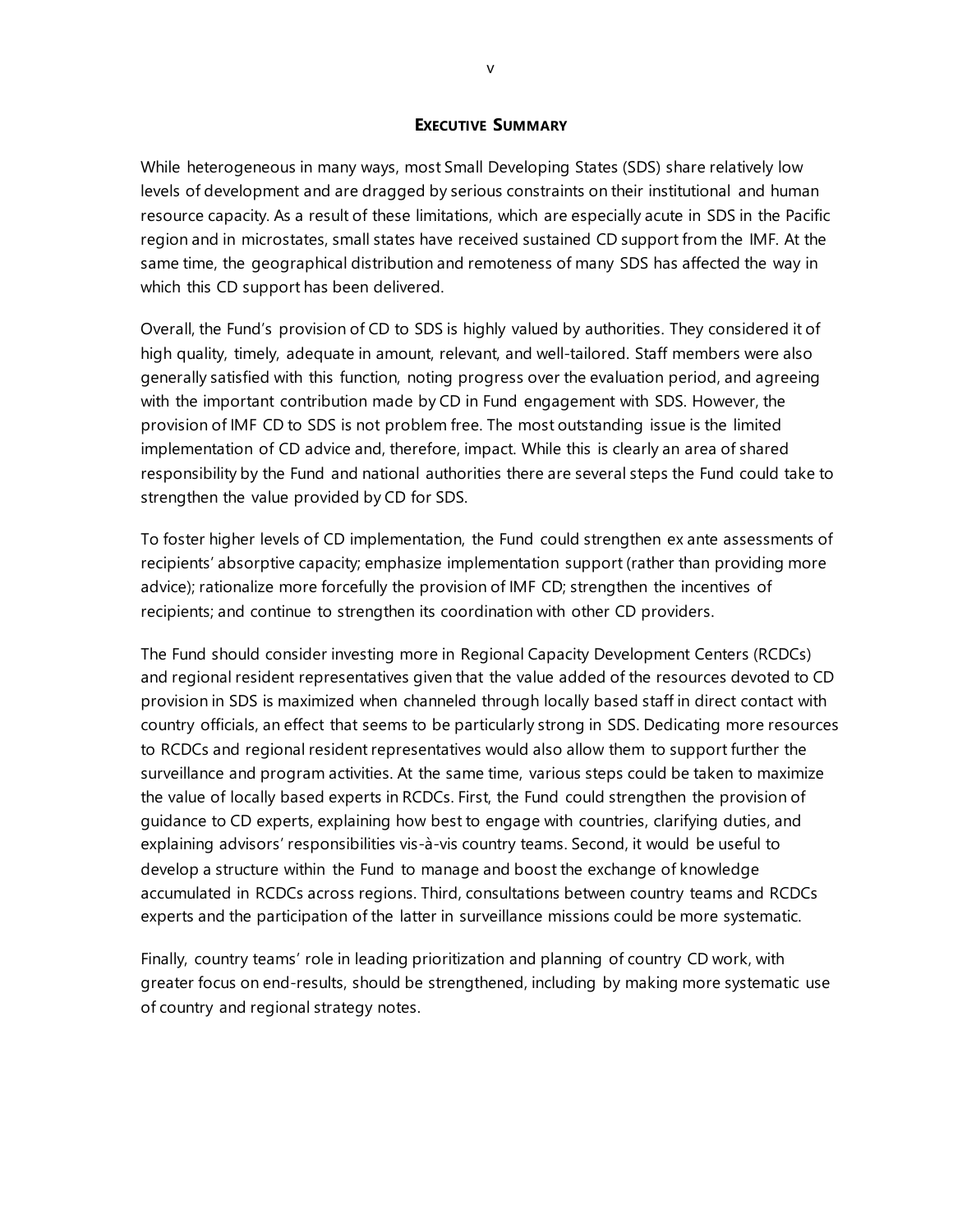#### **EXECUTIVE SUMMARY**

While heterogeneous in many ways, most Small Developing States (SDS) share relatively low levels of development and are dragged by serious constraints on their institutional and human resource capacity. As a result of these limitations, which are especially acute in SDS in the Pacific region and in microstates, small states have received sustained CD support from the IMF. At the same time, the geographical distribution and remoteness of many SDS has affected the way in which this CD support has been delivered.

Overall, the Fund's provision of CD to SDS is highly valued by authorities. They considered it of high quality, timely, adequate in amount, relevant, and well-tailored. Staff members were also generally satisfied with this function, noting progress over the evaluation period, and agreeing with the important contribution made by CD in Fund engagement with SDS. However, the provision of IMF CD to SDS is not problem free. The most outstanding issue is the limited implementation of CD advice and, therefore, impact. While this is clearly an area of shared responsibility by the Fund and national authorities there are several steps the Fund could take to strengthen the value provided by CD for SDS.

To foster higher levels of CD implementation, the Fund could strengthen ex ante assessments of recipients' absorptive capacity; emphasize implementation support (rather than providing more advice); rationalize more forcefully the provision of IMF CD; strengthen the incentives of recipients; and continue to strengthen its coordination with other CD providers.

The Fund should consider investing more in Regional Capacity Development Centers (RCDCs) and regional resident representatives given that the value added of the resources devoted to CD provision in SDS is maximized when channeled through locally based staff in direct contact with country officials, an effect that seems to be particularly strong in SDS. Dedicating more resources to RCDCs and regional resident representatives would also allow them to support further the surveillance and program activities. At the same time, various steps could be taken to maximize the value of locally based experts in RCDCs. First, the Fund could strengthen the provision of guidance to CD experts, explaining how best to engage with countries, clarifying duties, and explaining advisors' responsibilities vis-à-vis country teams. Second, it would be useful to develop a structure within the Fund to manage and boost the exchange of knowledge accumulated in RCDCs across regions. Third, consultations between country teams and RCDCs experts and the participation of the latter in surveillance missions could be more systematic.

Finally, country teams' role in leading prioritization and planning of country CD work, with greater focus on end-results, should be strengthened, including by making more systematic use of country and regional strategy notes.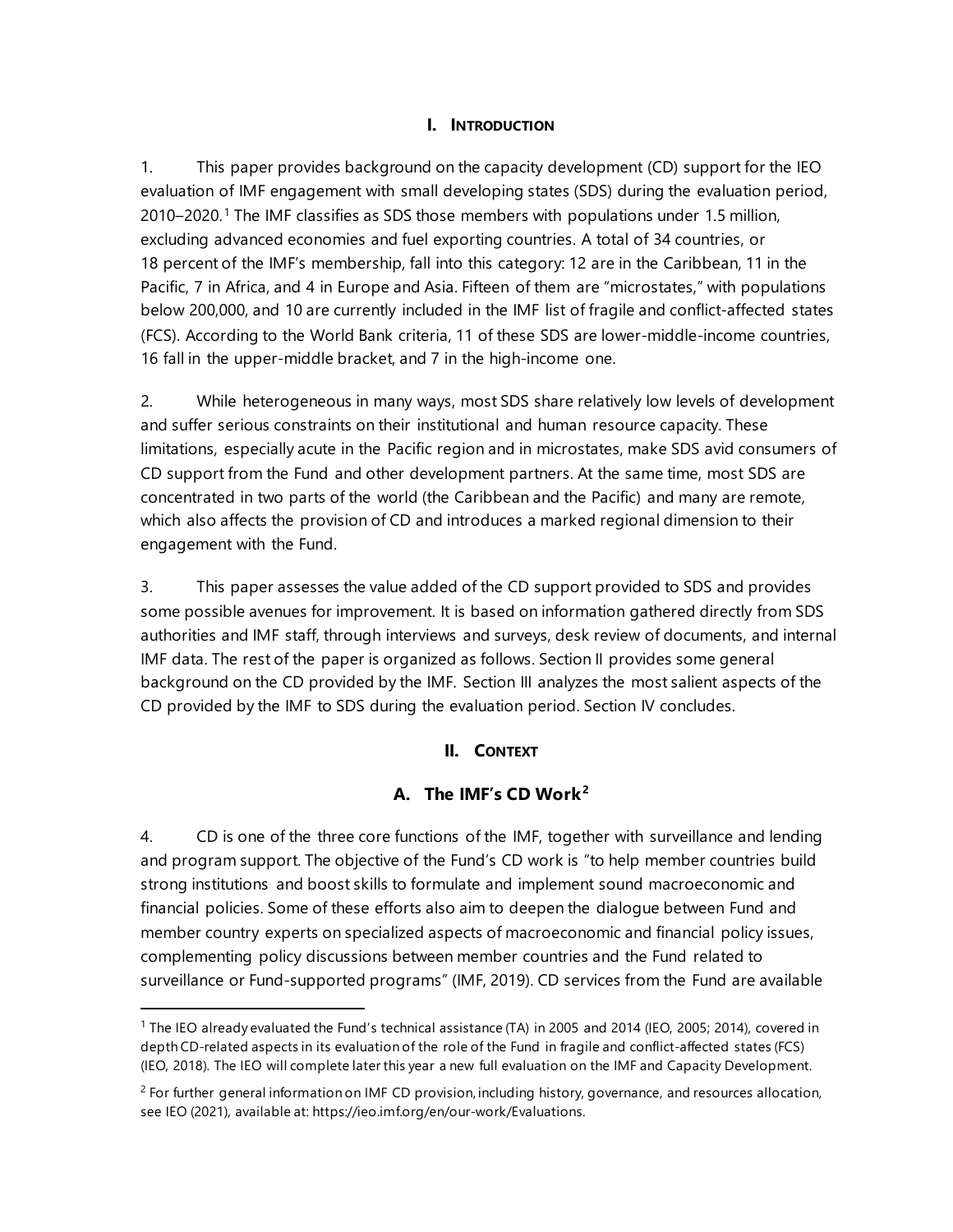## **I. INTRODUCTION**

1. This paper provides background on the capacity development (CD) support for the IEO evaluation of IMF engagement with small developing states (SDS) during the evaluation period, 2010–2020. [1](#page-6-0) The IMF classifies as SDS those members with populations under 1.5 million, excluding advanced economies and fuel exporting countries. A total of 34 countries, or 18 percent of the IMF's membership, fall into this category: 12 are in the Caribbean, 11 in the Pacific, 7 in Africa, and 4 in Europe and Asia. Fifteen of them are "microstates," with populations below 200,000, and 10 are currently included in the IMF list of fragile and conflict-affected states (FCS). According to the World Bank criteria, 11 of these SDS are lower-middle-income countries, 16 fall in the upper-middle bracket, and 7 in the high-income one.

2. While heterogeneous in many ways, most SDS share relatively low levels of development and suffer serious constraints on their institutional and human resource capacity. These limitations, especially acute in the Pacific region and in microstates, make SDS avid consumers of CD support from the Fund and other development partners. At the same time, most SDS are concentrated in two parts of the world (the Caribbean and the Pacific) and many are remote, which also affects the provision of CD and introduces a marked regional dimension to their engagement with the Fund.

3. This paper assesses the value added of the CD support provided to SDS and provides some possible avenues for improvement. It is based on information gathered directly from SDS authorities and IMF staff, through interviews and surveys, desk review of documents, and internal IMF data. The rest of the paper is organized as follows. Section II provides some general background on the CD provided by the IMF. Section III analyzes the most salient aspects of the CD provided by the IMF to SDS during the evaluation period. Section IV concludes.

## **II. CONTEXT**

## **A. The IMF's CD Work[2](#page-6-1)**

4. CD is one of the three core functions of the IMF, together with surveillance and lending and program support. The objective of the Fund's CD work is "to help member countries build strong institutions and boost skills to formulate and implement sound macroeconomic and financial policies. Some of these efforts also aim to deepen the dialogue between Fund and member country experts on specialized aspects of macroeconomic and financial policy issues, complementing policy discussions between member countries and the Fund related to surveillance or Fund-supported programs" (IMF, 2019). CD services from the Fund are available

<span id="page-6-0"></span><sup>&</sup>lt;sup>1</sup> The IEO already evaluated the Fund's technical assistance (TA) in 2005 and 2014 (IEO, 2005; 2014), covered in depth CD-related aspects in its evaluation of the role of the Fund in fragile and conflict-affected states (FCS) (IEO, 2018). The IEO will complete later this year a new full evaluation on the IMF and Capacity Development.

<span id="page-6-1"></span> $<sup>2</sup>$  For further general information on IMF CD provision, including history, governance, and resources allocation,</sup> see IEO (2021), available at[: https://ieo.imf.org/en/our-work/Evaluations.](https://ieo.imf.org/en/our-work/Evaluations)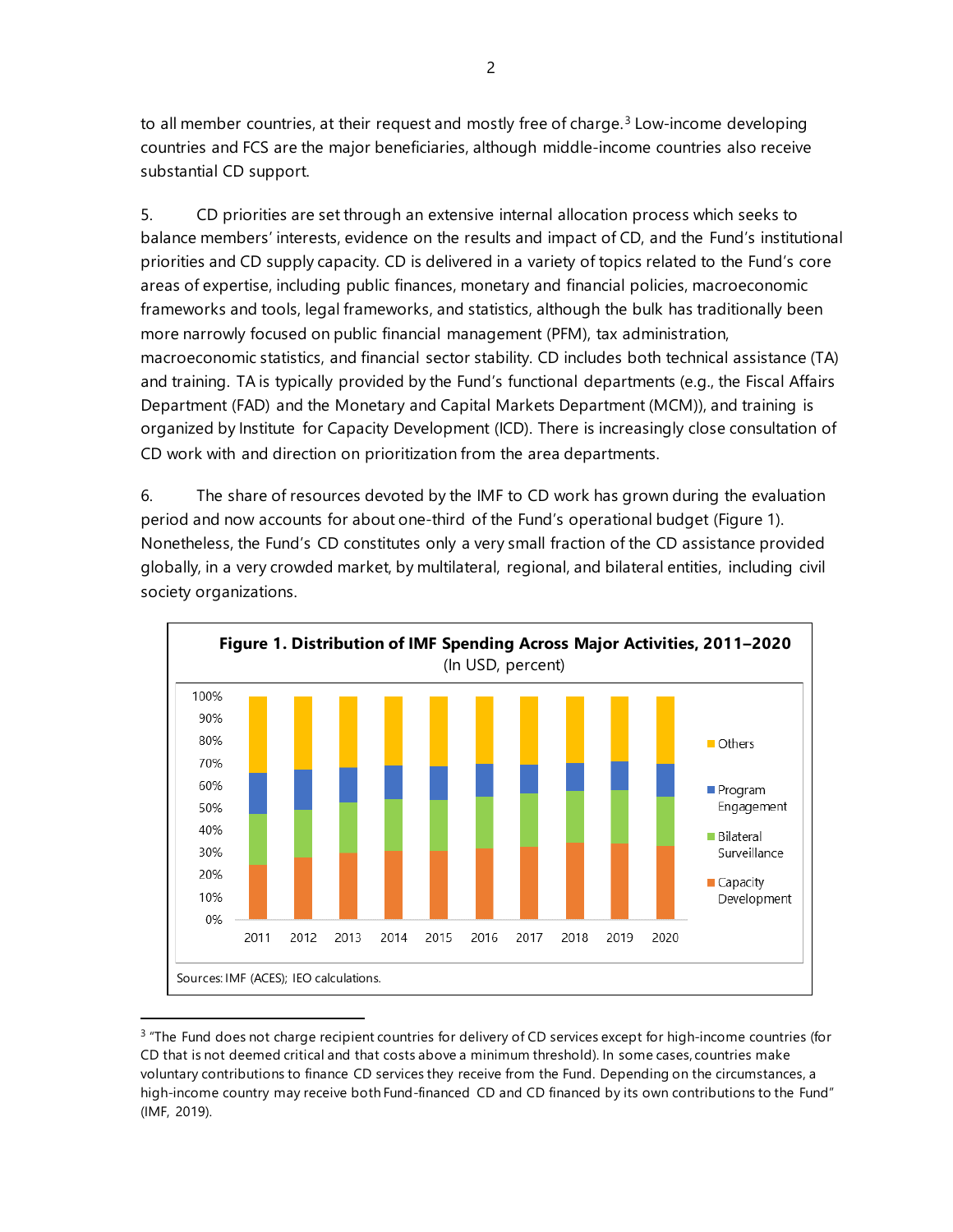to all member countries, at their request and mostly free of charge. $3$  Low-income developing countries and FCS are the major beneficiaries, although middle-income countries also receive substantial CD support.

5. CD priorities are set through an extensive internal allocation process which seeks to balance members' interests, evidence on the results and impact of CD, and the Fund's institutional priorities and CD supply capacity. CD is delivered in a variety of topics related to the Fund's core areas of expertise, including public finances, monetary and financial policies, macroeconomic frameworks and tools, legal frameworks, and statistics, although the bulk has traditionally been more narrowly focused on public financial management (PFM), tax administration, macroeconomic statistics, and financial sector stability. CD includes both technical assistance (TA) and training. TA is typically provided by the Fund's functional departments (e.g., the Fiscal Affairs Department (FAD) and the Monetary and Capital Markets Department (MCM)), and training is organized by Institute for Capacity Development (ICD). There is increasingly close consultation of CD work with and direction on prioritization from the area departments.

6. The share of resources devoted by the IMF to CD work has grown during the evaluation period and now accounts for about one-third of the Fund's operational budget (Figure 1). Nonetheless, the Fund's CD constitutes only a very small fraction of the CD assistance provided globally, in a very crowded market, by multilateral, regional, and bilateral entities, including civil society organizations.



<span id="page-7-0"></span><sup>&</sup>lt;sup>3</sup> "The Fund does not charge recipient countries for delivery of CD services except for high-income countries (for CD that is not deemed critical and that costs above a minimum threshold). In some cases, countries make voluntary contributions to finance CD services they receive from the Fund. Depending on the circumstances, a high-income country may receive both Fund-financed CD and CD financed by its own contributions to the Fund" (IMF, 2019).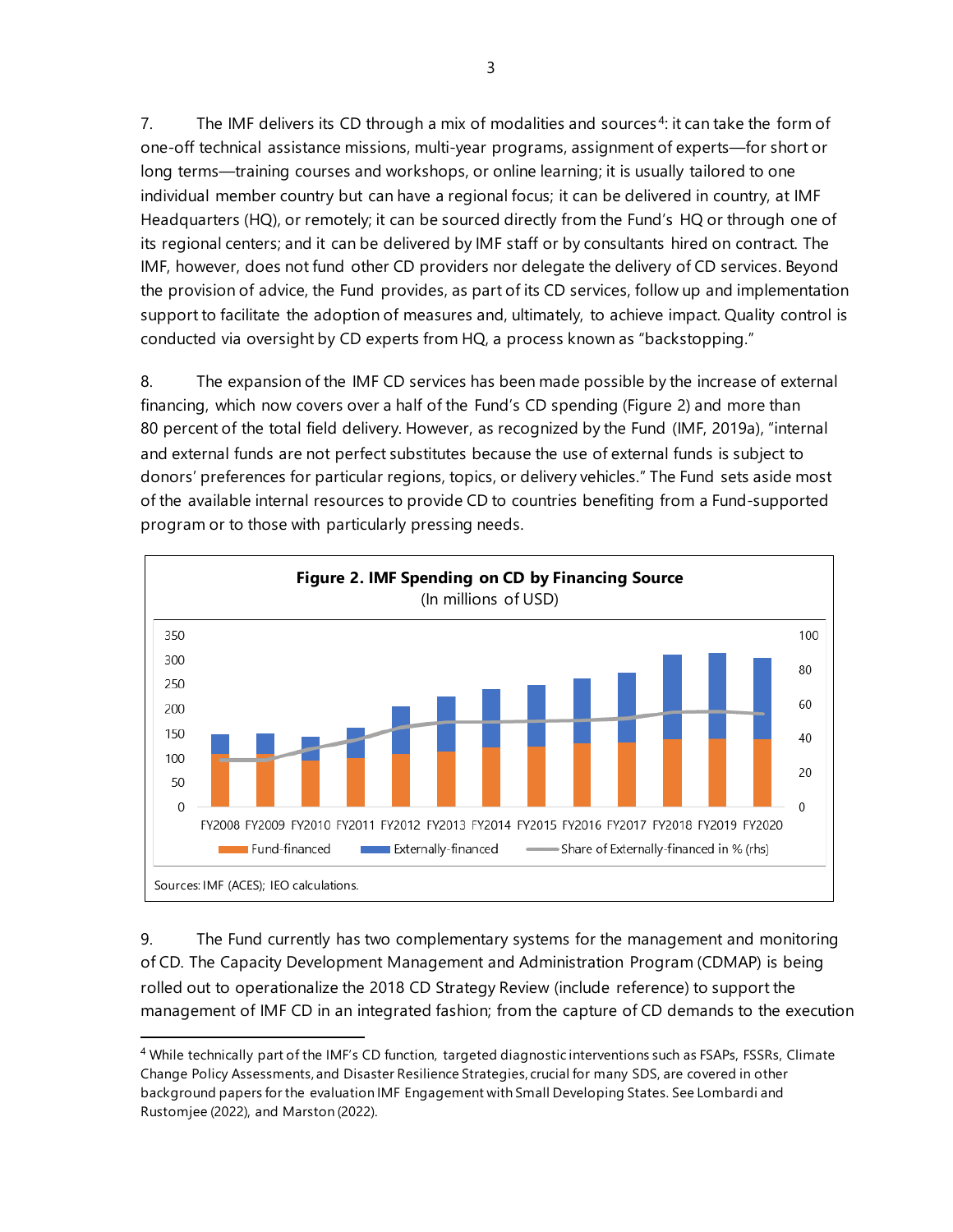7. The IMF delivers its CD through a mix of modalities and sources<sup>[4](#page-8-0)</sup>: it can take the form of one-off technical assistance missions, multi-year programs, assignment of experts—for short or long terms—training courses and workshops, or online learning; it is usually tailored to one individual member country but can have a regional focus; it can be delivered in country, at IMF Headquarters (HQ), or remotely; it can be sourced directly from the Fund's HQ or through one of its regional centers; and it can be delivered by IMF staff or by consultants hired on contract. The IMF, however, does not fund other CD providers nor delegate the delivery of CD services. Beyond the provision of advice, the Fund provides, as part of its CD services, follow up and implementation support to facilitate the adoption of measures and, ultimately, to achieve impact. Quality control is conducted via oversight by CD experts from HQ, a process known as "backstopping."

8. The expansion of the IMF CD services has been made possible by the increase of external financing, which now covers over a half of the Fund's CD spending (Figure 2) and more than 80 percent of the total field delivery. However, as recognized by the Fund (IMF, 2019a), "internal and external funds are not perfect substitutes because the use of external funds is subject to donors' preferences for particular regions, topics, or delivery vehicles." The Fund sets aside most of the available internal resources to provide CD to countries benefiting from a Fund-supported program or to those with particularly pressing needs.



9. The Fund currently has two complementary systems for the management and monitoring of CD. The Capacity Development Management and Administration Program (CDMAP) is being rolled out to operationalize the 2018 CD Strategy Review (include reference) to support the management of IMF CD in an integrated fashion; from the capture of CD demands to the execution

<span id="page-8-0"></span><sup>&</sup>lt;sup>4</sup> While technically part of the IMF's CD function, targeted diagnostic interventions such as FSAPs, FSSRs, Climate Change Policy Assessments, and Disaster Resilience Strategies, crucial for many SDS, are covered in other background papers for the evaluation IMF Engagement with Small Developing States. See Lombardi and Rustomjee (2022), and Marston (2022).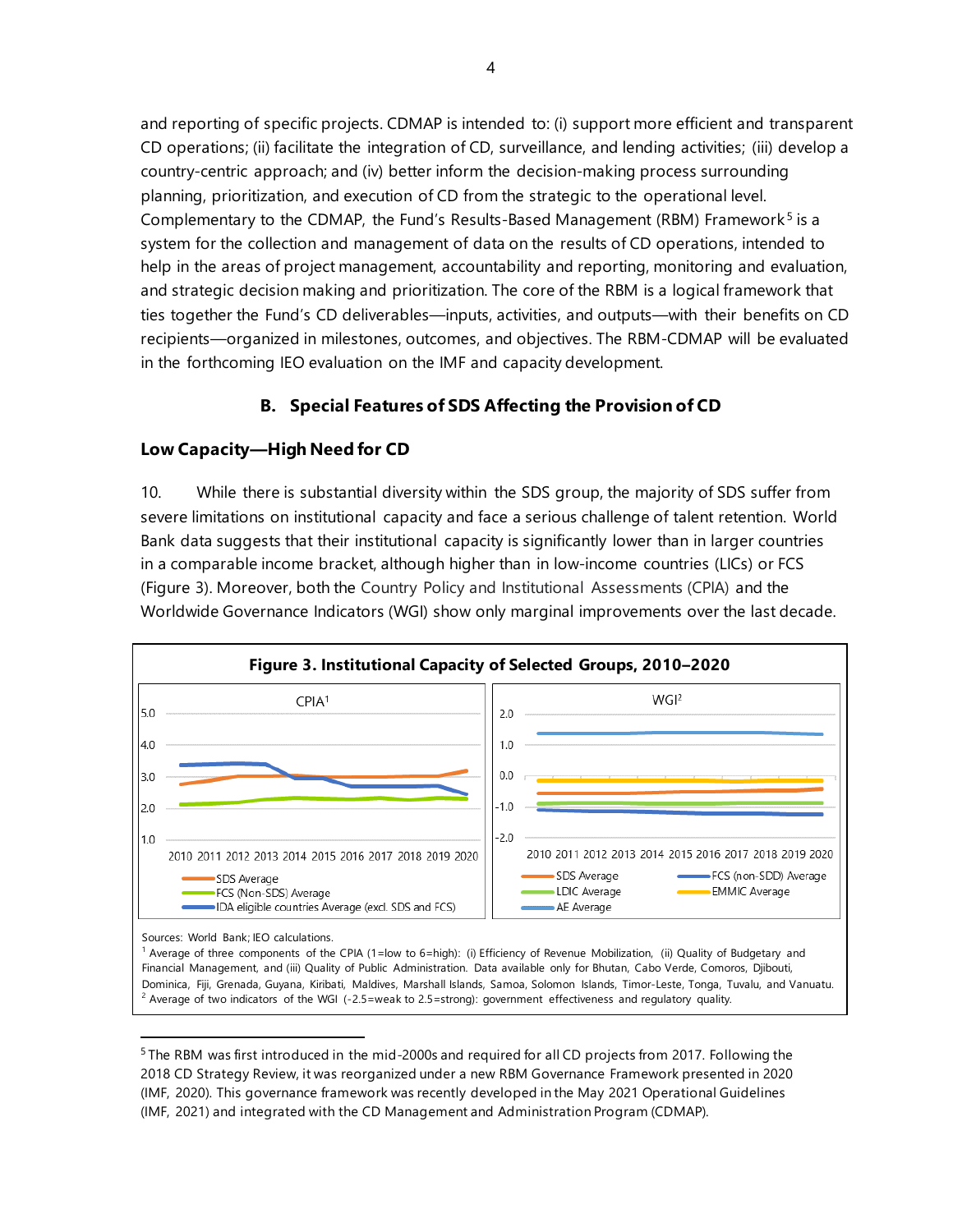and reporting of specific projects. CDMAP is intended to: (i) support more efficient and transparent CD operations; (ii) facilitate the integration of CD, surveillance, and lending activities; (iii) develop a country-centric approach; and (iv) better inform the decision-making process surrounding planning, prioritization, and execution of CD from the strategic to the operational level. Complementary to the CDMAP, the Fund's Results-Based Management (RBM) Framework<sup>[5](#page-9-0)</sup> is a system for the collection and management of data on the results of CD operations, intended to help in the areas of project management, accountability and reporting, monitoring and evaluation, and strategic decision making and prioritization. The core of the RBM is a logical framework that ties together the Fund's CD deliverables—inputs, activities, and outputs—with their benefits on CD recipients—organized in milestones, outcomes, and objectives. The RBM-CDMAP will be evaluated in the forthcoming IEO evaluation on the IMF and capacity development.

## **B. Special Features of SDS Affecting the Provision of CD**

## **Low Capacity—High Need for CD**

10. While there is substantial diversity within the SDS group, the majority of SDS suffer from severe limitations on institutional capacity and face a serious challenge of talent retention. World Bank data suggests that their institutional capacity is significantly lower than in larger countries in a comparable income bracket, although higher than in low-income countries (LICs) or FCS (Figure 3). Moreover, both the Country Policy and Institutional Assessments (CPIA) and the Worldwide Governance Indicators (WGI) show only marginal improvements over the last decade.



<span id="page-9-0"></span><sup>&</sup>lt;sup>5</sup> The RBM was first introduced in the mid-2000s and required for all CD projects from 2017. Following the 2018 CD Strategy Review, it was reorganized under a new RBM Governance Framework presented in 2020 (IMF, 2020). This governance framework was recently developed in the May 2021 Operational Guidelines (IMF, 2021) and integrated with the CD Management and Administration Program (CDMAP).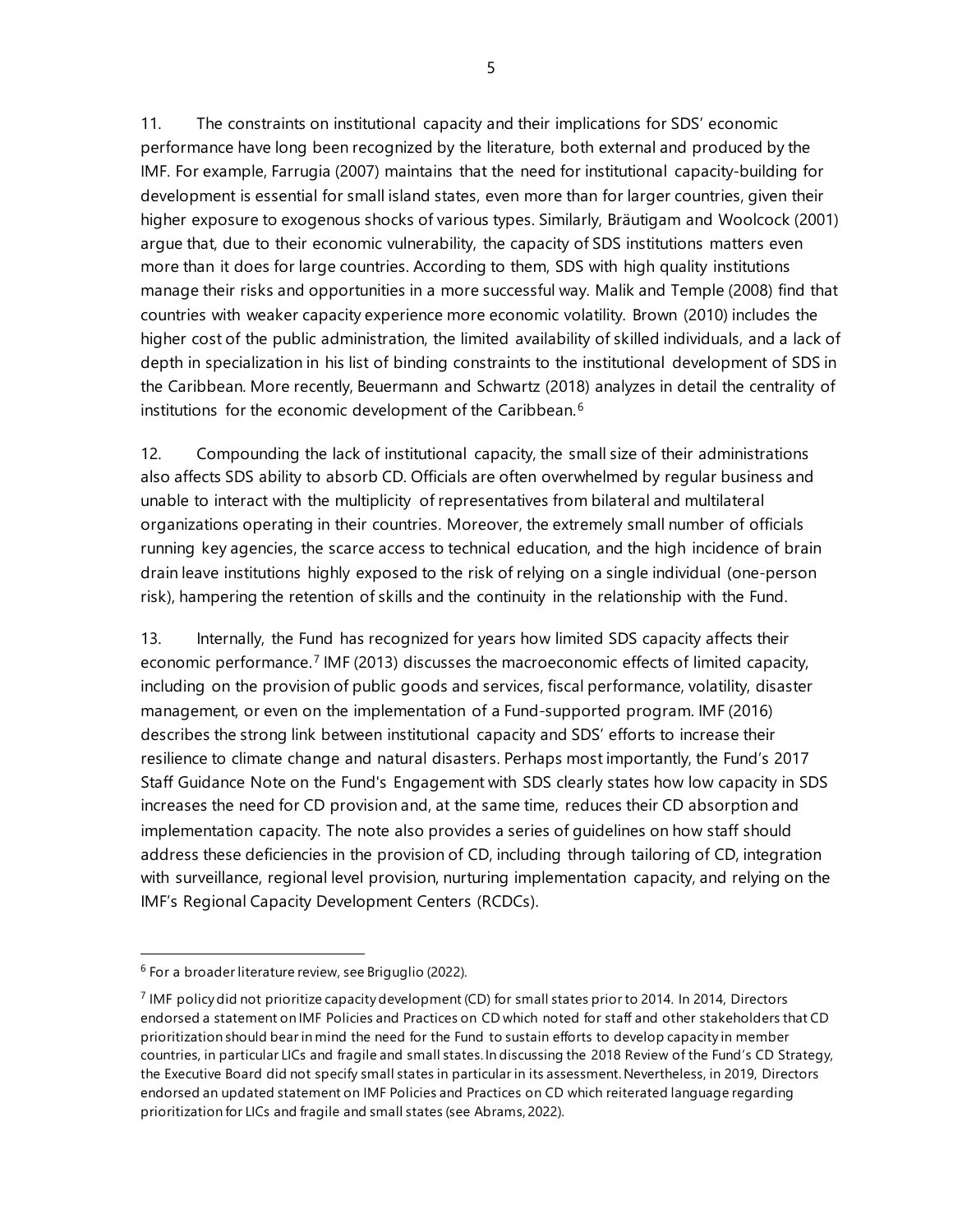11. The constraints on institutional capacity and their implications for SDS' economic performance have long been recognized by the literature, both external and produced by the IMF. For example, Farrugia (2007) maintains that the need for institutional capacity-building for development is essential for small island states, even more than for larger countries, given their higher exposure to exogenous shocks of various types. Similarly, Bräutigam and Woolcock (2001) argue that, due to their economic vulnerability, the capacity of SDS institutions matters even more than it does for large countries. According to them, SDS with high quality institutions manage their risks and opportunities in a more successful way. Malik and Temple (2008) find that countries with weaker capacity experience more economic volatility. Brown (2010) includes the higher cost of the public administration, the limited availability of skilled individuals, and a lack of depth in specialization in his list of binding constraints to the institutional development of SDS in the Caribbean. More recently, Beuermann and Schwartz (2018) analyzes in detail the centrality of institutions for the economic development of the Caribbean.<sup>[6](#page-10-0)</sup>

12. Compounding the lack of institutional capacity, the small size of their administrations also affects SDS ability to absorb CD. Officials are often overwhelmed by regular business and unable to interact with the multiplicity of representatives from bilateral and multilateral organizations operating in their countries. Moreover, the extremely small number of officials running key agencies, the scarce access to technical education, and the high incidence of brain drain leave institutions highly exposed to the risk of relying on a single individual (one-person risk), hampering the retention of skills and the continuity in the relationship with the Fund.

13. Internally, the Fund has recognized for years how limited SDS capacity affects their economic performance.<sup>[7](#page-10-1)</sup> IMF (2013) discusses the macroeconomic effects of limited capacity, including on the provision of public goods and services, fiscal performance, volatility, disaster management, or even on the implementation of a Fund-supported program. IMF (2016) describes the strong link between institutional capacity and SDS' efforts to increase their resilience to climate change and natural disasters. Perhaps most importantly, the Fund's 2017 Staff Guidance Note on the Fund's Engagement with SDS clearly states how low capacity in SDS increases the need for CD provision and, at the same time, reduces their CD absorption and implementation capacity. The note also provides a series of guidelines on how staff should address these deficiencies in the provision of CD, including through tailoring of CD, integration with surveillance, regional level provision, nurturing implementation capacity, and relying on the IMF's Regional Capacity Development Centers (RCDCs).

<span id="page-10-0"></span> $6$  For a broader literature review, see Briguglio (2022).

<span id="page-10-1"></span><sup>7</sup> IMF policy did not prioritize capacity development (CD) for small states prior to 2014. In 2014, Directors endorsed a statement on IMF Policies and Practices on CD which noted for staff and other stakeholders that CD prioritization should bear in mind the need for the Fund to sustain efforts to develop capacity in member countries, in particular LICs and fragile and small states. In discussing the 2018 Review of the Fund's CD Strategy, the Executive Board did not specify small states in particular in its assessment.Nevertheless, in 2019, Directors endorsed an updated statement on IMF Policies and Practices on CD which reiterated language regarding prioritization for LICs and fragile and small states (see Abrams, 2022).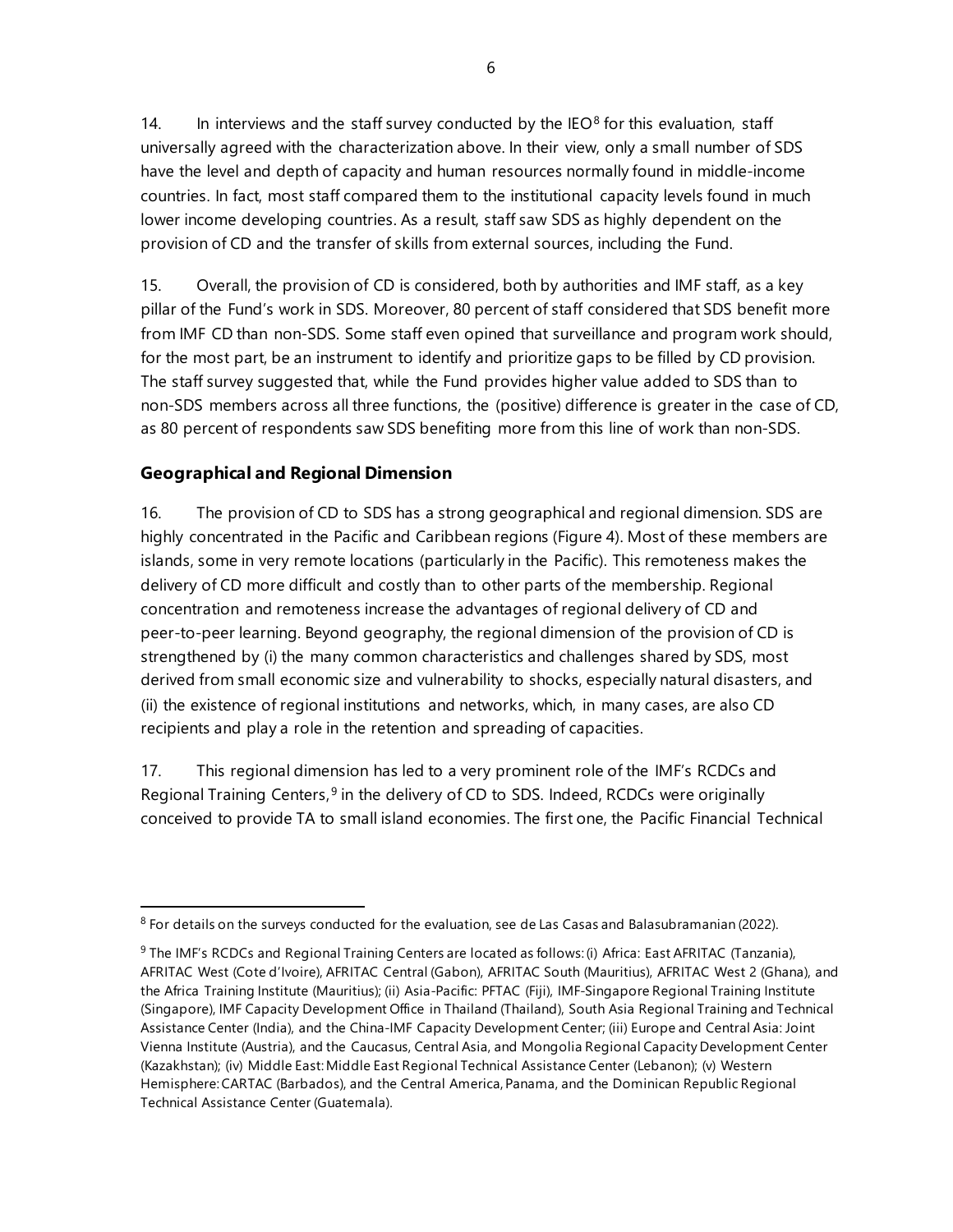14. In interviews and the staff survey conducted by the IEO $<sup>8</sup>$  $<sup>8</sup>$  $<sup>8</sup>$  for this evaluation, staff</sup> universally agreed with the characterization above. In their view, only a small number of SDS have the level and depth of capacity and human resources normally found in middle-income countries. In fact, most staff compared them to the institutional capacity levels found in much lower income developing countries. As a result, staff saw SDS as highly dependent on the provision of CD and the transfer of skills from external sources, including the Fund.

15. Overall, the provision of CD is considered, both by authorities and IMF staff, as a key pillar of the Fund's work in SDS. Moreover, 80 percent of staff considered that SDS benefit more from IMF CD than non-SDS. Some staff even opined that surveillance and program work should, for the most part, be an instrument to identify and prioritize gaps to be filled by CD provision. The staff survey suggested that, while the Fund provides higher value added to SDS than to non-SDS members across all three functions, the (positive) difference is greater in the case of CD, as 80 percent of respondents saw SDS benefiting more from this line of work than non-SDS.

# **Geographical and Regional Dimension**

16. The provision of CD to SDS has a strong geographical and regional dimension. SDS are highly concentrated in the Pacific and Caribbean regions (Figure 4). Most of these members are islands, some in very remote locations (particularly in the Pacific). This remoteness makes the delivery of CD more difficult and costly than to other parts of the membership. Regional concentration and remoteness increase the advantages of regional delivery of CD and peer-to-peer learning. Beyond geography, the regional dimension of the provision of CD is strengthened by (i) the many common characteristics and challenges shared by SDS, most derived from small economic size and vulnerability to shocks, especially natural disasters, and (ii) the existence of regional institutions and networks, which, in many cases, are also CD recipients and play a role in the retention and spreading of capacities.

17. This regional dimension has led to a very prominent role of the IMF's RCDCs and Regional Training Centers,  $9$  in the delivery of CD to SDS. Indeed, RCDCs were originally conceived to provide TA to small island economies. The first one, the Pacific Financial Technical

<span id="page-11-0"></span> $8$  For details on the surveys conducted for the evaluation, see de Las Casas and Balasubramanian (2022).

<span id="page-11-1"></span><sup>9</sup> The IMF's RCDCs and Regional Training Centers are located as follows: (i) Africa: East AFRITAC (Tanzania), AFRITAC West (Cote d'Ivoire), AFRITAC Central (Gabon), AFRITAC South (Mauritius), AFRITAC West 2 (Ghana), and the Africa Training Institute (Mauritius); (ii) Asia-Pacific: PFTAC (Fiji), IMF-Singapore Regional Training Institute (Singapore), IMF Capacity Development Office in Thailand (Thailand), South Asia Regional Training and Technical Assistance Center (India), and the China-IMF Capacity Development Center; (iii) Europe and Central Asia: Joint Vienna Institute (Austria), and the Caucasus, Central Asia, and Mongolia Regional Capacity Development Center (Kazakhstan); (iv) Middle East: Middle East Regional Technical Assistance Center (Lebanon); (v) Western Hemisphere: CARTAC (Barbados), and the Central America, Panama, and the Dominican Republic Regional Technical Assistance Center (Guatemala).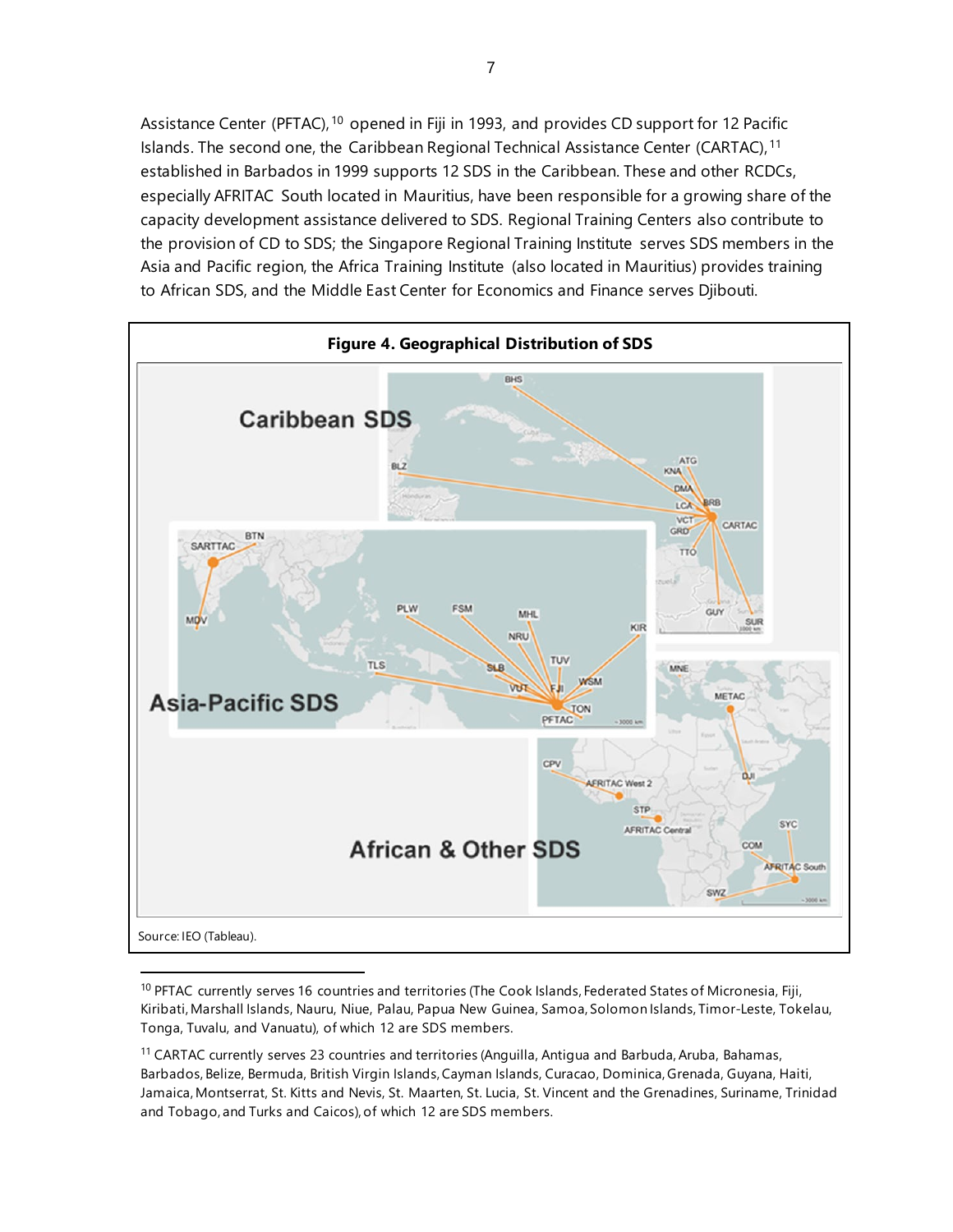Assistance Center (PFTAC), <sup>[10](#page-12-0)</sup> opened in Fiji in 1993, and provides CD support for 12 Pacific Islands. The second one, the Caribbean Regional Technical Assistance Center (CARTAC), <sup>[11](#page-12-1)</sup> established in Barbados in 1999 supports 12 SDS in the Caribbean. These and other RCDCs, especially AFRITAC South located in Mauritius, have been responsible for a growing share of the capacity development assistance delivered to SDS. Regional Training Centers also contribute to the provision of CD to SDS; the Singapore Regional Training Institute serves SDS members in the Asia and Pacific region, the Africa Training Institute (also located in Mauritius) provides training to African SDS, and the Middle East Center for Economics and Finance serves Djibouti.



<span id="page-12-0"></span><sup>10</sup> PFTAC currently serves 16 countries and territories (The Cook Islands, Federated States of Micronesia, Fiji, Kiribati, Marshall Islands, Nauru, Niue, Palau, Papua New Guinea, Samoa, Solomon Islands, Timor‑Leste, Tokelau, Tonga, Tuvalu, and Vanuatu), of which 12 are SDS members.

<span id="page-12-1"></span><sup>11</sup> CARTAC currently serves 23 countries and territories (Anguilla, Antigua and Barbuda, Aruba, Bahamas, Barbados, Belize, Bermuda, British Virgin Islands, Cayman Islands, Curacao, Dominica, Grenada, Guyana, Haiti, Jamaica, Montserrat, St. Kitts and Nevis, St. Maarten, St. Lucia, St. Vincent and the Grenadines, Suriname, Trinidad and Tobago, and Turks and Caicos), of which 12 are SDS members.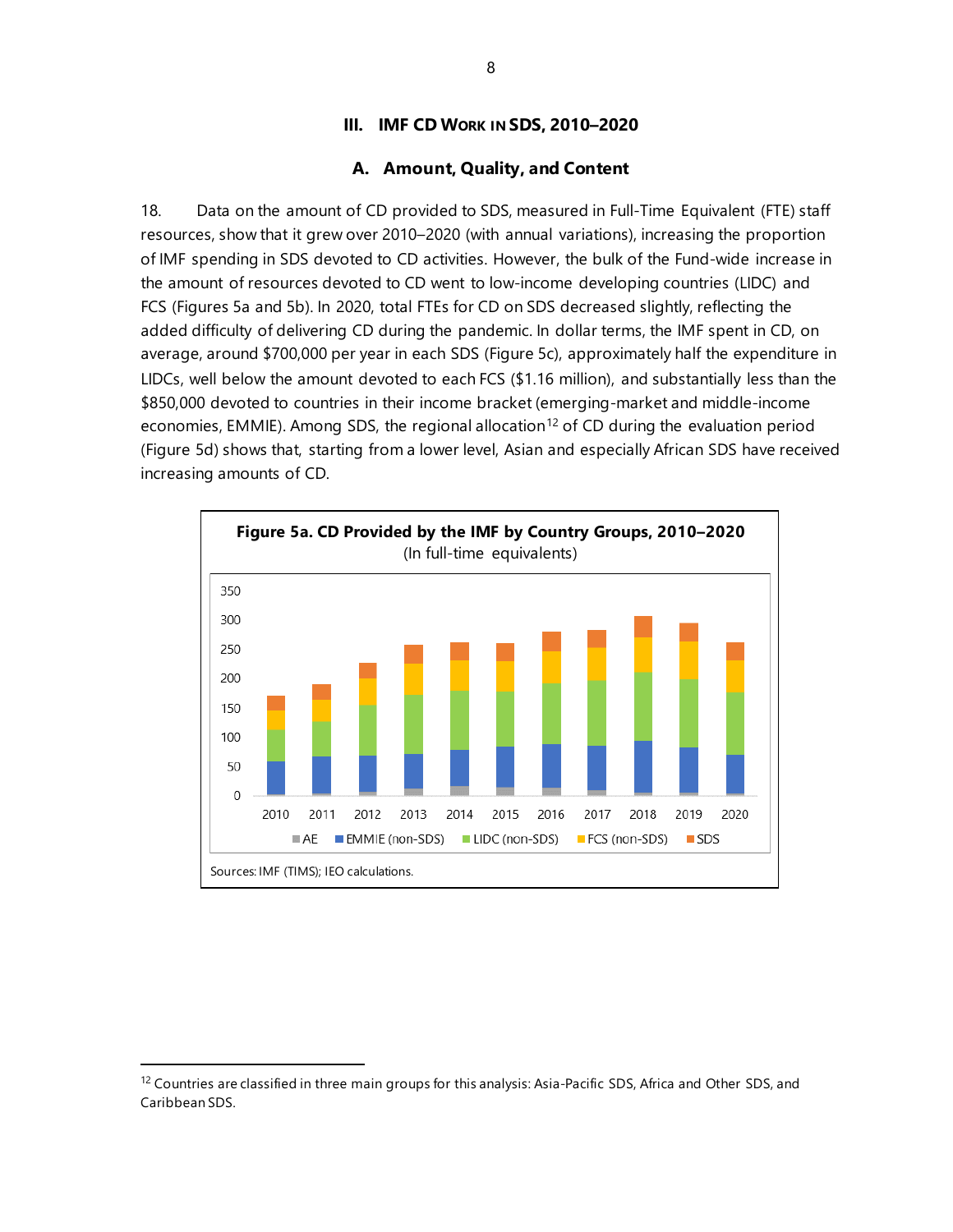## **III. IMF CD WORK IN SDS, 2010–2020**

## **A. Amount, Quality, and Content**

18. Data on the amount of CD provided to SDS, measured in Full-Time Equivalent (FTE) staff resources, show that it grew over 2010–2020 (with annual variations), increasing the proportion of IMF spending in SDS devoted to CD activities. However, the bulk of the Fund-wide increase in the amount of resources devoted to CD went to low-income developing countries (LIDC) and FCS (Figures 5a and 5b). In 2020, total FTEs for CD on SDS decreased slightly, reflecting the added difficulty of delivering CD during the pandemic. In dollar terms, the IMF spent in CD, on average, around \$700,000 per year in each SDS (Figure 5c), approximately half the expenditure in LIDCs, well below the amount devoted to each FCS (\$1.16 million), and substantially less than the \$850,000 devoted to countries in their income bracket (emerging-market and middle-income economies, EMMIE). Among SDS, the regional allocation<sup>[12](#page-13-0)</sup> of CD during the evaluation period (Figure 5d) shows that, starting from a lower level, Asian and especially African SDS have received increasing amounts of CD.



<span id="page-13-0"></span><sup>&</sup>lt;sup>12</sup> Countries are classified in three main groups for this analysis: Asia-Pacific SDS, Africa and Other SDS, and Caribbean SDS.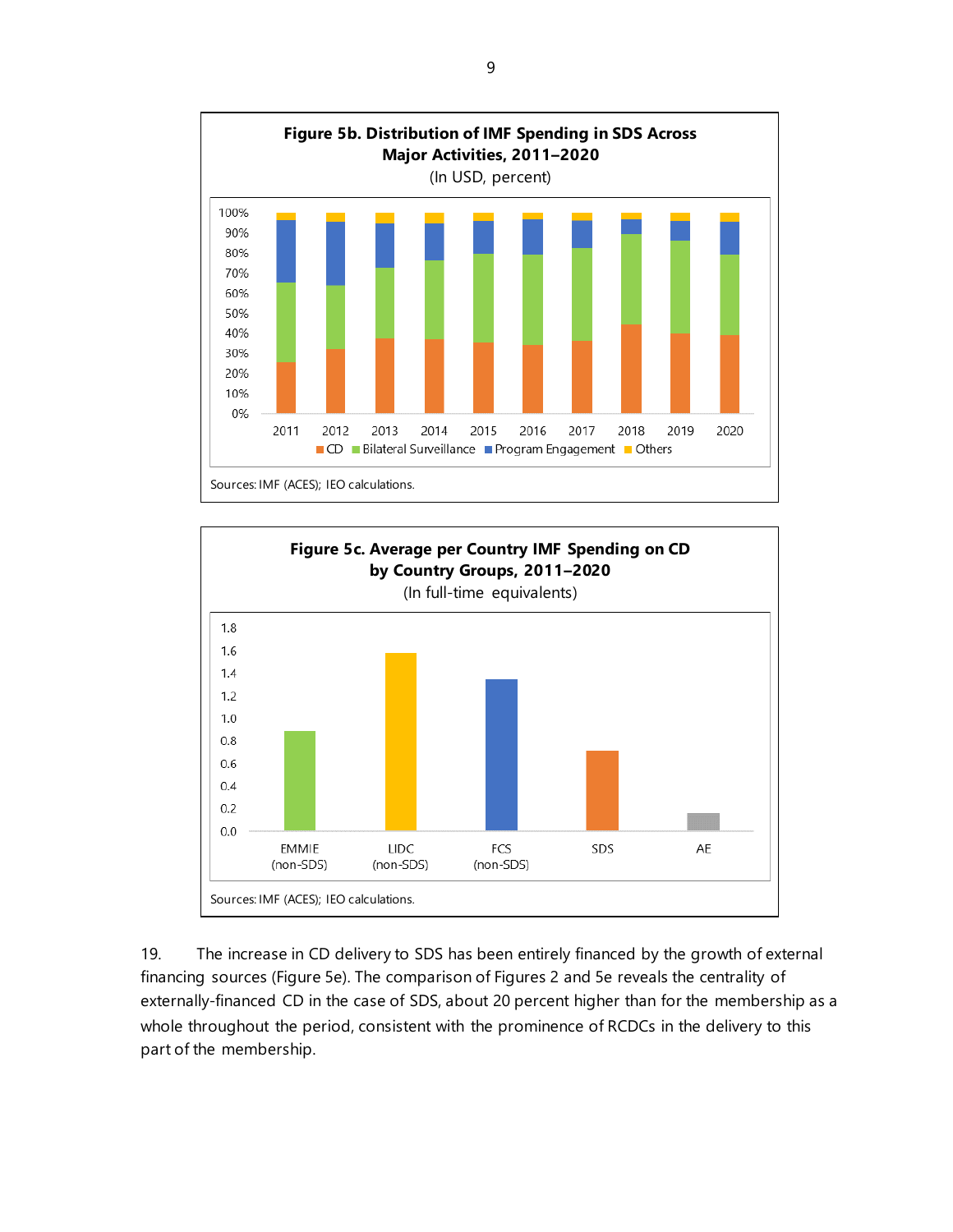



19. The increase in CD delivery to SDS has been entirely financed by the growth of external financing sources (Figure 5e). The comparison of Figures 2 and 5e reveals the centrality of externally-financed CD in the case of SDS, about 20 percent higher than for the membership as a whole throughout the period, consistent with the prominence of RCDCs in the delivery to this part of the membership.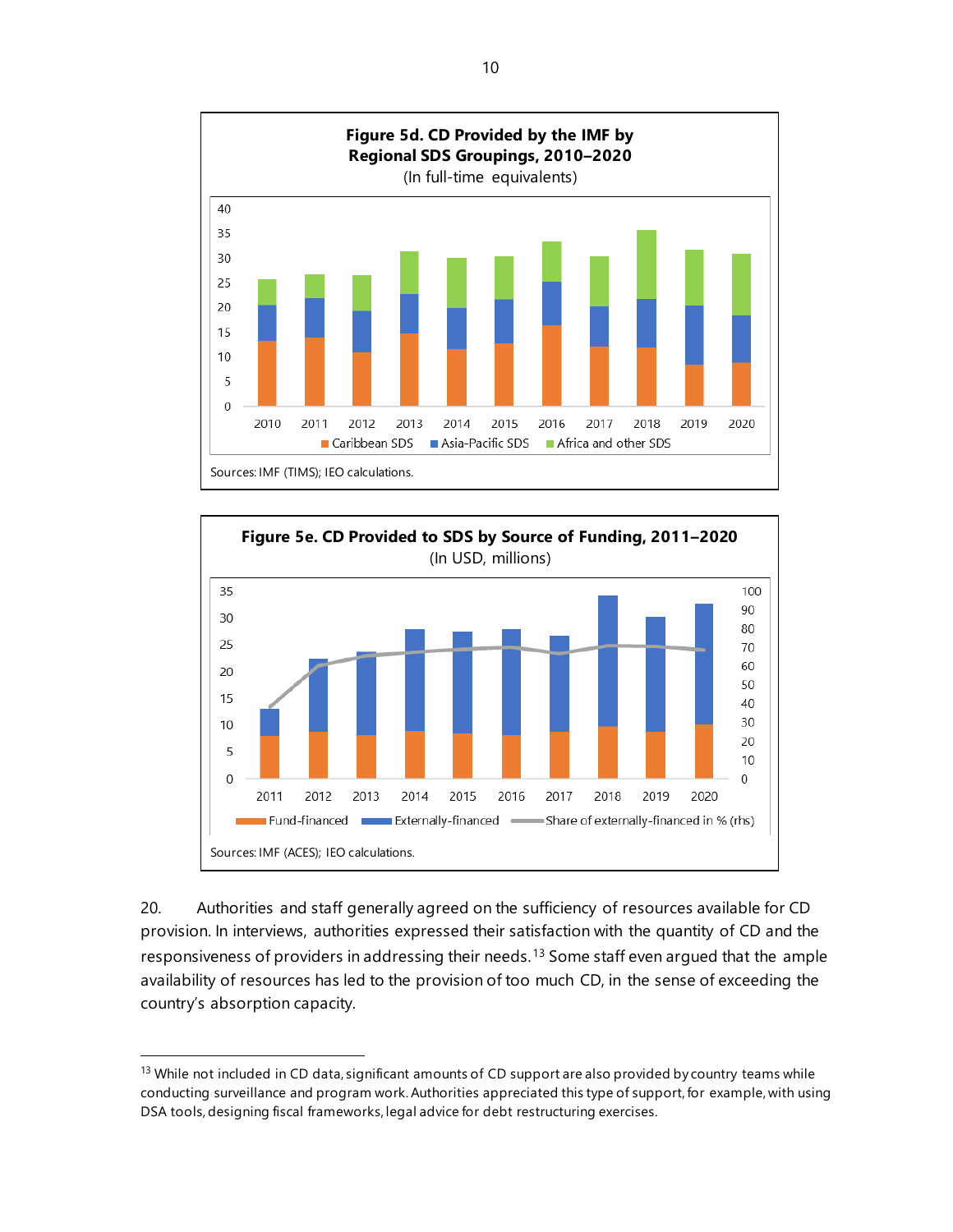



20. Authorities and staff generally agreed on the sufficiency of resources available for CD provision. In interviews, authorities expressed their satisfaction with the quantity of CD and the responsiveness of providers in addressing their needs.<sup>[13](#page-15-0)</sup> Some staff even argued that the ample availability of resources has led to the provision of too much CD, in the sense of exceeding the country's absorption capacity.

<span id="page-15-0"></span><sup>&</sup>lt;sup>13</sup> While not included in CD data, significant amounts of CD support are also provided by country teams while conducting surveillance and program work. Authorities appreciated this type of support, for example, with using DSA tools, designing fiscal frameworks, legal advice for debt restructuring exercises.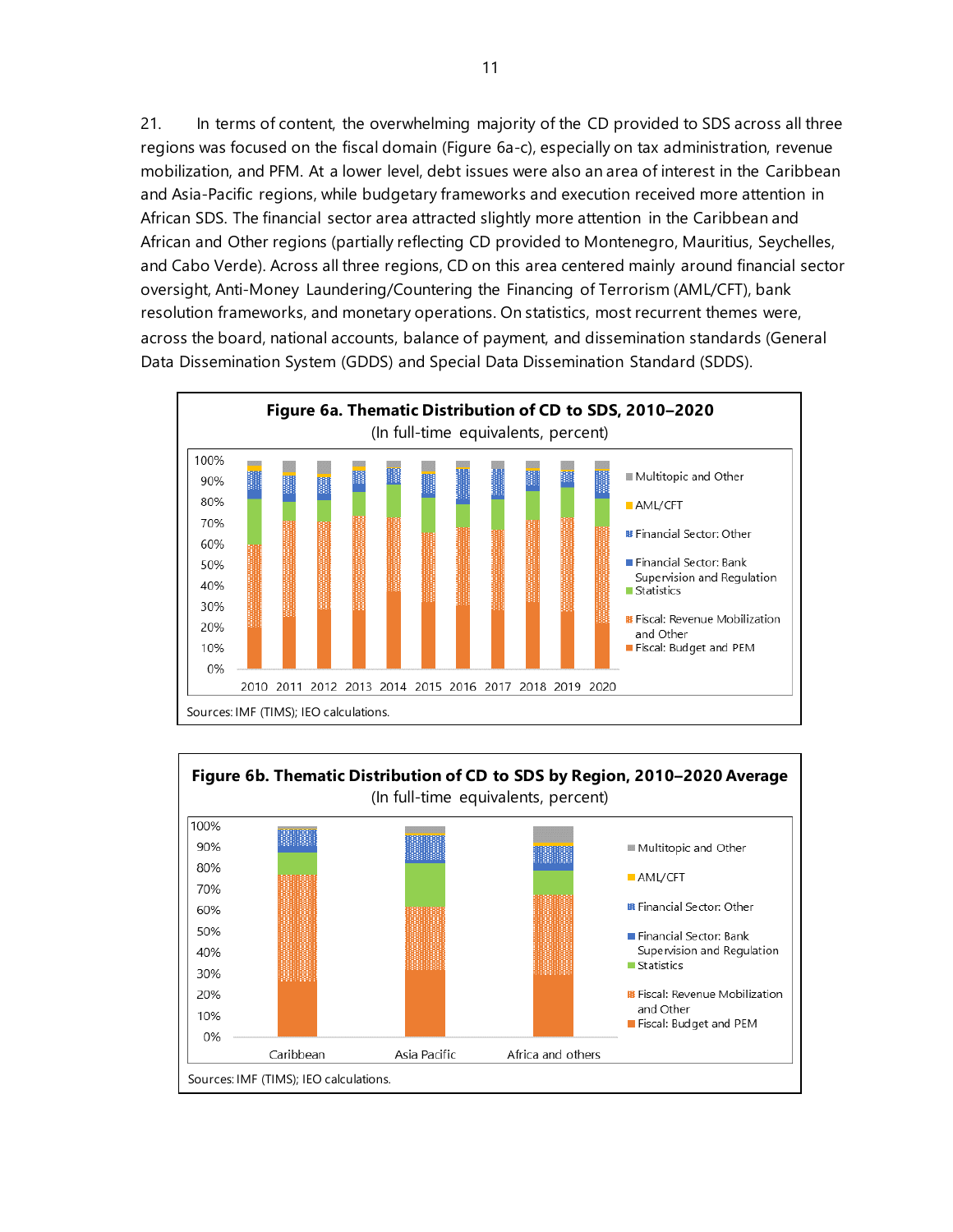21. In terms of content, the overwhelming majority of the CD provided to SDS across all three regions was focused on the fiscal domain (Figure 6a-c), especially on tax administration, revenue mobilization, and PFM. At a lower level, debt issues were also an area of interest in the Caribbean and Asia-Pacific regions, while budgetary frameworks and execution received more attention in African SDS. The financial sector area attracted slightly more attention in the Caribbean and African and Other regions (partially reflecting CD provided to Montenegro, Mauritius, Seychelles, and Cabo Verde). Across all three regions, CD on this area centered mainly around financial sector oversight, Anti-Money Laundering/Countering the Financing of Terrorism (AML/CFT), bank resolution frameworks, and monetary operations. On statistics, most recurrent themes were, across the board, national accounts, balance of payment, and dissemination standards (General Data Dissemination System (GDDS) and Special Data Dissemination Standard (SDDS).



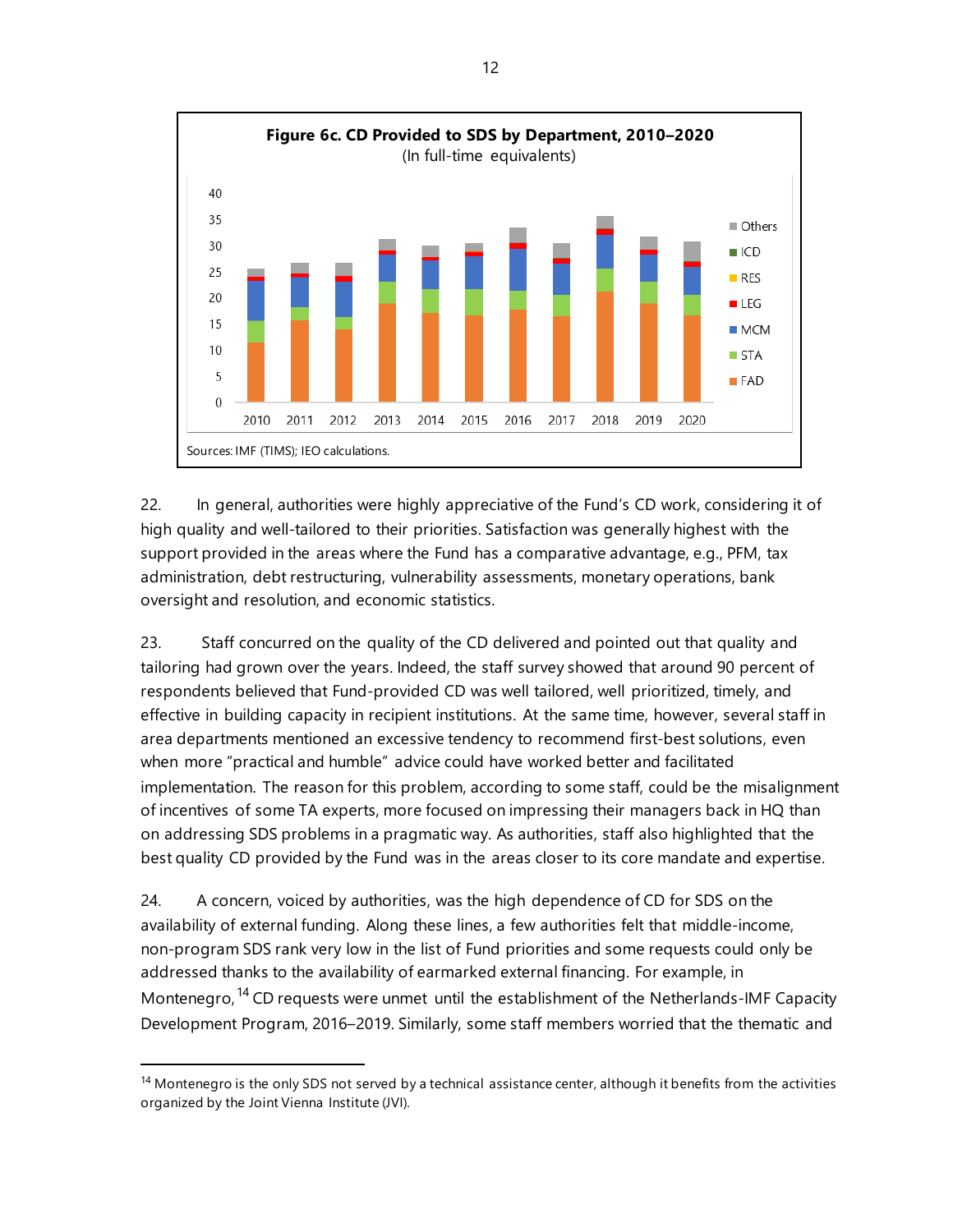

22. In general, authorities were highly appreciative of the Fund's CD work, considering it of high quality and well-tailored to their priorities. Satisfaction was generally highest with the support provided in the areas where the Fund has a comparative advantage, e.g., PFM, tax administration, debt restructuring, vulnerability assessments, monetary operations, bank oversight and resolution, and economic statistics.

23. Staff concurred on the quality of the CD delivered and pointed out that quality and tailoring had grown over the years. Indeed, the staff survey showed that around 90 percent of respondents believed that Fund-provided CD was well tailored, well prioritized, timely, and effective in building capacity in recipient institutions. At the same time, however, several staff in area departments mentioned an excessive tendency to recommend first-best solutions, even when more "practical and humble" advice could have worked better and facilitated implementation. The reason for this problem, according to some staff, could be the misalignment of incentives of some TA experts, more focused on impressing their managers back in HQ than on addressing SDS problems in a pragmatic way. As authorities, staff also highlighted that the best quality CD provided by the Fund was in the areas closer to its core mandate and expertise.

24. A concern, voiced by authorities, was the high dependence of CD for SDS on the availability of external funding. Along these lines, a few authorities felt that middle-income, non-program SDS rank very low in the list of Fund priorities and some requests could only be addressed thanks to the availability of earmarked external financing. For example, in Montenegro, <sup>[14](#page-17-0)</sup> CD requests were unmet until the establishment of the Netherlands-IMF Capacity Development Program, 2016–2019. Similarly, some staff members worried that the thematic and

<span id="page-17-0"></span> $14$  Montenegro is the only SDS not served by a technical assistance center, although it benefits from the activities organized by the Joint Vienna Institute (JVI).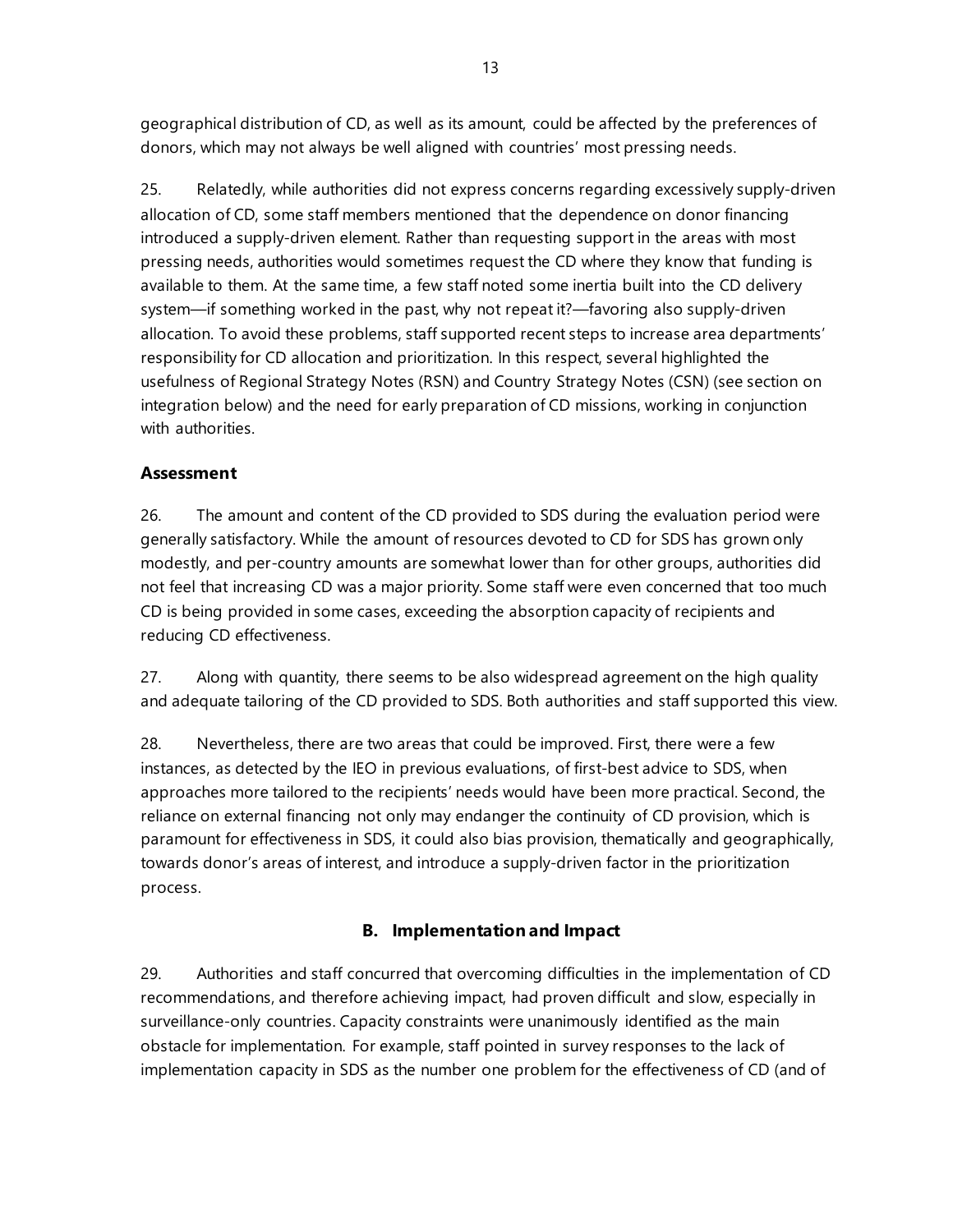geographical distribution of CD, as well as its amount, could be affected by the preferences of donors, which may not always be well aligned with countries' most pressing needs.

25. Relatedly, while authorities did not express concerns regarding excessively supply-driven allocation of CD, some staff members mentioned that the dependence on donor financing introduced a supply-driven element. Rather than requesting support in the areas with most pressing needs, authorities would sometimes request the CD where they know that funding is available to them. At the same time, a few staff noted some inertia built into the CD delivery system—if something worked in the past, why not repeat it?—favoring also supply-driven allocation. To avoid these problems, staff supported recent steps to increase area departments' responsibility for CD allocation and prioritization. In this respect, several highlighted the usefulness of Regional Strategy Notes (RSN) and Country Strategy Notes (CSN) (see section on integration below) and the need for early preparation of CD missions, working in conjunction with authorities

# **Assessment**

26. The amount and content of the CD provided to SDS during the evaluation period were generally satisfactory. While the amount of resources devoted to CD for SDS has grown only modestly, and per-country amounts are somewhat lower than for other groups, authorities did not feel that increasing CD was a major priority. Some staff were even concerned that too much CD is being provided in some cases, exceeding the absorption capacity of recipients and reducing CD effectiveness.

27. Along with quantity, there seems to be also widespread agreement on the high quality and adequate tailoring of the CD provided to SDS. Both authorities and staff supported this view.

28. Nevertheless, there are two areas that could be improved. First, there were a few instances, as detected by the IEO in previous evaluations, of first-best advice to SDS, when approaches more tailored to the recipients' needs would have been more practical. Second, the reliance on external financing not only may endanger the continuity of CD provision, which is paramount for effectiveness in SDS, it could also bias provision, thematically and geographically, towards donor's areas of interest, and introduce a supply-driven factor in the prioritization process.

# **B. Implementation and Impact**

29. Authorities and staff concurred that overcoming difficulties in the implementation of CD recommendations, and therefore achieving impact, had proven difficult and slow, especially in surveillance-only countries. Capacity constraints were unanimously identified as the main obstacle for implementation. For example, staff pointed in survey responses to the lack of implementation capacity in SDS as the number one problem for the effectiveness of CD (and of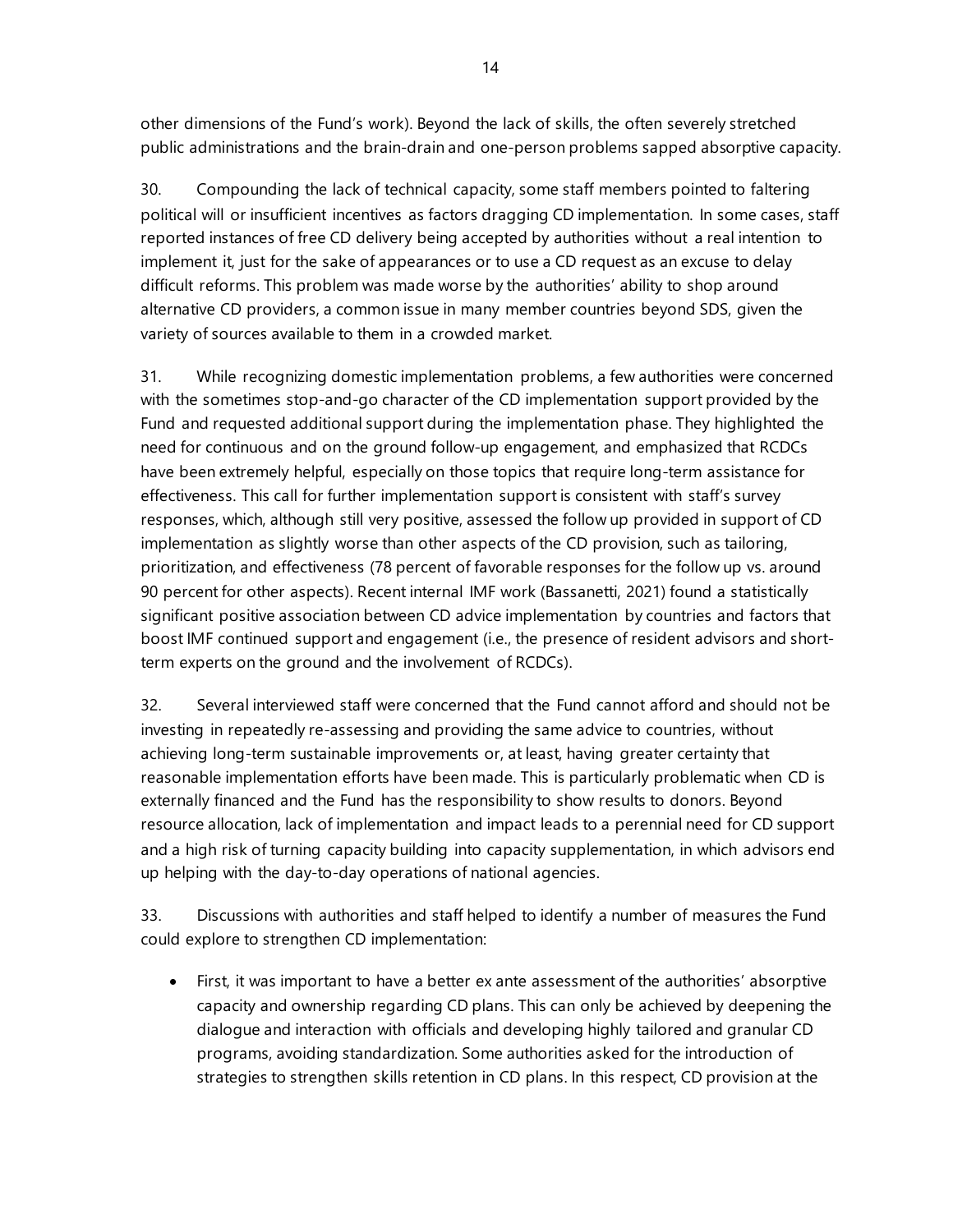other dimensions of the Fund's work). Beyond the lack of skills, the often severely stretched public administrations and the brain-drain and one-person problems sapped absorptive capacity.

30. Compounding the lack of technical capacity, some staff members pointed to faltering political will or insufficient incentives as factors dragging CD implementation. In some cases, staff reported instances of free CD delivery being accepted by authorities without a real intention to implement it, just for the sake of appearances or to use a CD request as an excuse to delay difficult reforms. This problem was made worse by the authorities' ability to shop around alternative CD providers, a common issue in many member countries beyond SDS, given the variety of sources available to them in a crowded market.

31. While recognizing domestic implementation problems, a few authorities were concerned with the sometimes stop-and-go character of the CD implementation support provided by the Fund and requested additional support during the implementation phase. They highlighted the need for continuous and on the ground follow-up engagement, and emphasized that RCDCs have been extremely helpful, especially on those topics that require long-term assistance for effectiveness. This call for further implementation support is consistent with staff's survey responses, which, although still very positive, assessed the follow up provided in support of CD implementation as slightly worse than other aspects of the CD provision, such as tailoring, prioritization, and effectiveness (78 percent of favorable responses for the follow up vs. around 90 percent for other aspects). Recent internal IMF work (Bassanetti, 2021) found a statistically significant positive association between CD advice implementation by countries and factors that boost IMF continued support and engagement (i.e., the presence of resident advisors and shortterm experts on the ground and the involvement of RCDCs).

32. Several interviewed staff were concerned that the Fund cannot afford and should not be investing in repeatedly re-assessing and providing the same advice to countries, without achieving long-term sustainable improvements or, at least, having greater certainty that reasonable implementation efforts have been made. This is particularly problematic when CD is externally financed and the Fund has the responsibility to show results to donors. Beyond resource allocation, lack of implementation and impact leads to a perennial need for CD support and a high risk of turning capacity building into capacity supplementation, in which advisors end up helping with the day-to-day operations of national agencies.

33. Discussions with authorities and staff helped to identify a number of measures the Fund could explore to strengthen CD implementation:

• First, it was important to have a better ex ante assessment of the authorities' absorptive capacity and ownership regarding CD plans. This can only be achieved by deepening the dialogue and interaction with officials and developing highly tailored and granular CD programs, avoiding standardization. Some authorities asked for the introduction of strategies to strengthen skills retention in CD plans. In this respect, CD provision at the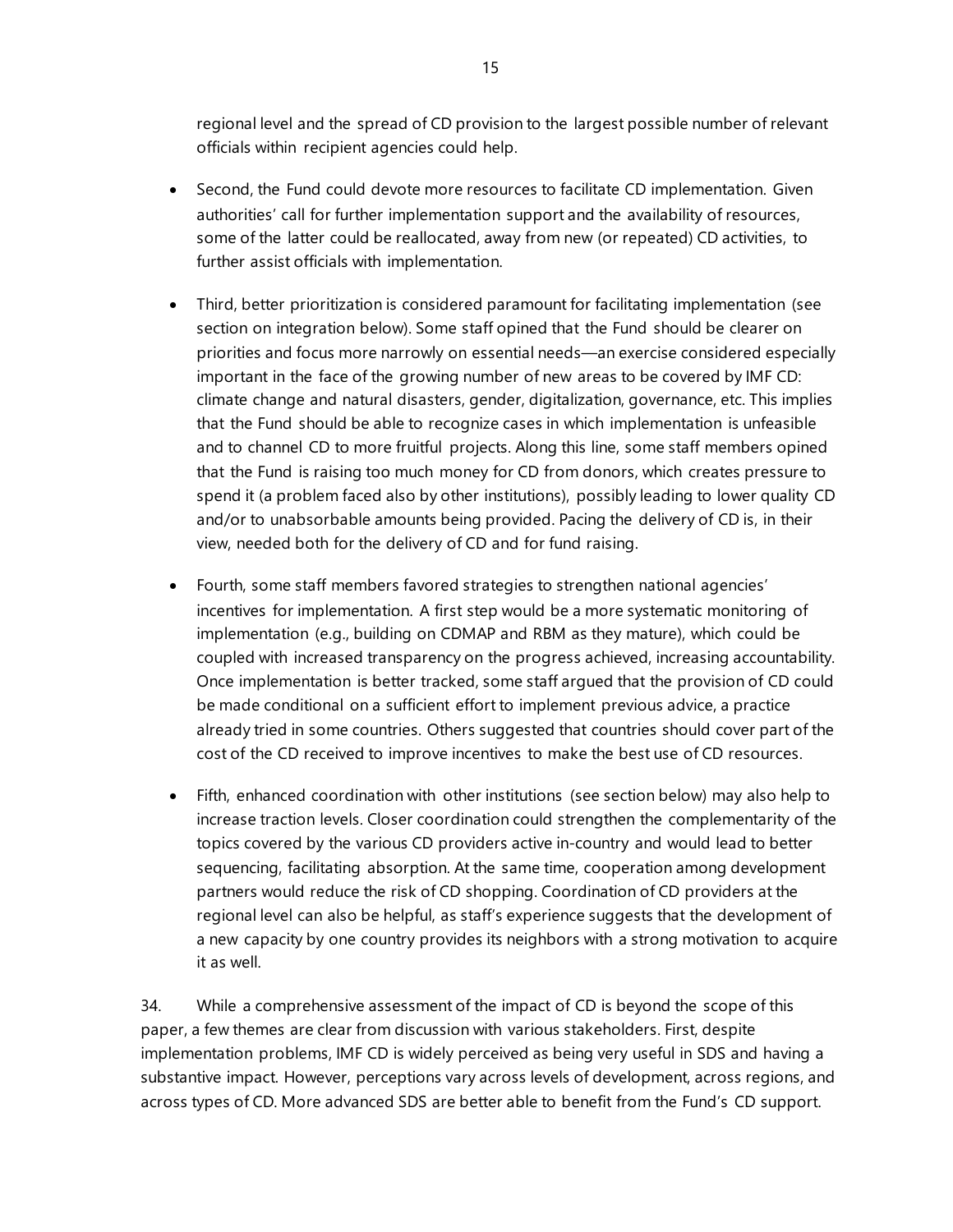regional level and the spread of CD provision to the largest possible number of relevant officials within recipient agencies could help.

- Second, the Fund could devote more resources to facilitate CD implementation. Given authorities' call for further implementation support and the availability of resources, some of the latter could be reallocated, away from new (or repeated) CD activities, to further assist officials with implementation.
- Third, better prioritization is considered paramount for facilitating implementation (see section on integration below). Some staff opined that the Fund should be clearer on priorities and focus more narrowly on essential needs—an exercise considered especially important in the face of the growing number of new areas to be covered by IMF CD: climate change and natural disasters, gender, digitalization, governance, etc. This implies that the Fund should be able to recognize cases in which implementation is unfeasible and to channel CD to more fruitful projects. Along this line, some staff members opined that the Fund is raising too much money for CD from donors, which creates pressure to spend it (a problem faced also by other institutions), possibly leading to lower quality CD and/or to unabsorbable amounts being provided. Pacing the delivery of CD is, in their view, needed both for the delivery of CD and for fund raising.
- Fourth, some staff members favored strategies to strengthen national agencies' incentives for implementation. A first step would be a more systematic monitoring of implementation (e.g., building on CDMAP and RBM as they mature), which could be coupled with increased transparency on the progress achieved, increasing accountability. Once implementation is better tracked, some staff argued that the provision of CD could be made conditional on a sufficient effort to implement previous advice, a practice already tried in some countries. Others suggested that countries should cover part of the cost of the CD received to improve incentives to make the best use of CD resources.
- Fifth, enhanced coordination with other institutions (see section below) may also help to increase traction levels. Closer coordination could strengthen the complementarity of the topics covered by the various CD providers active in-country and would lead to better sequencing, facilitating absorption. At the same time, cooperation among development partners would reduce the risk of CD shopping. Coordination of CD providers at the regional level can also be helpful, as staff's experience suggests that the development of a new capacity by one country provides its neighbors with a strong motivation to acquire it as well.

34. While a comprehensive assessment of the impact of CD is beyond the scope of this paper, a few themes are clear from discussion with various stakeholders. First, despite implementation problems, IMF CD is widely perceived as being very useful in SDS and having a substantive impact. However, perceptions vary across levels of development, across regions, and across types of CD. More advanced SDS are better able to benefit from the Fund's CD support.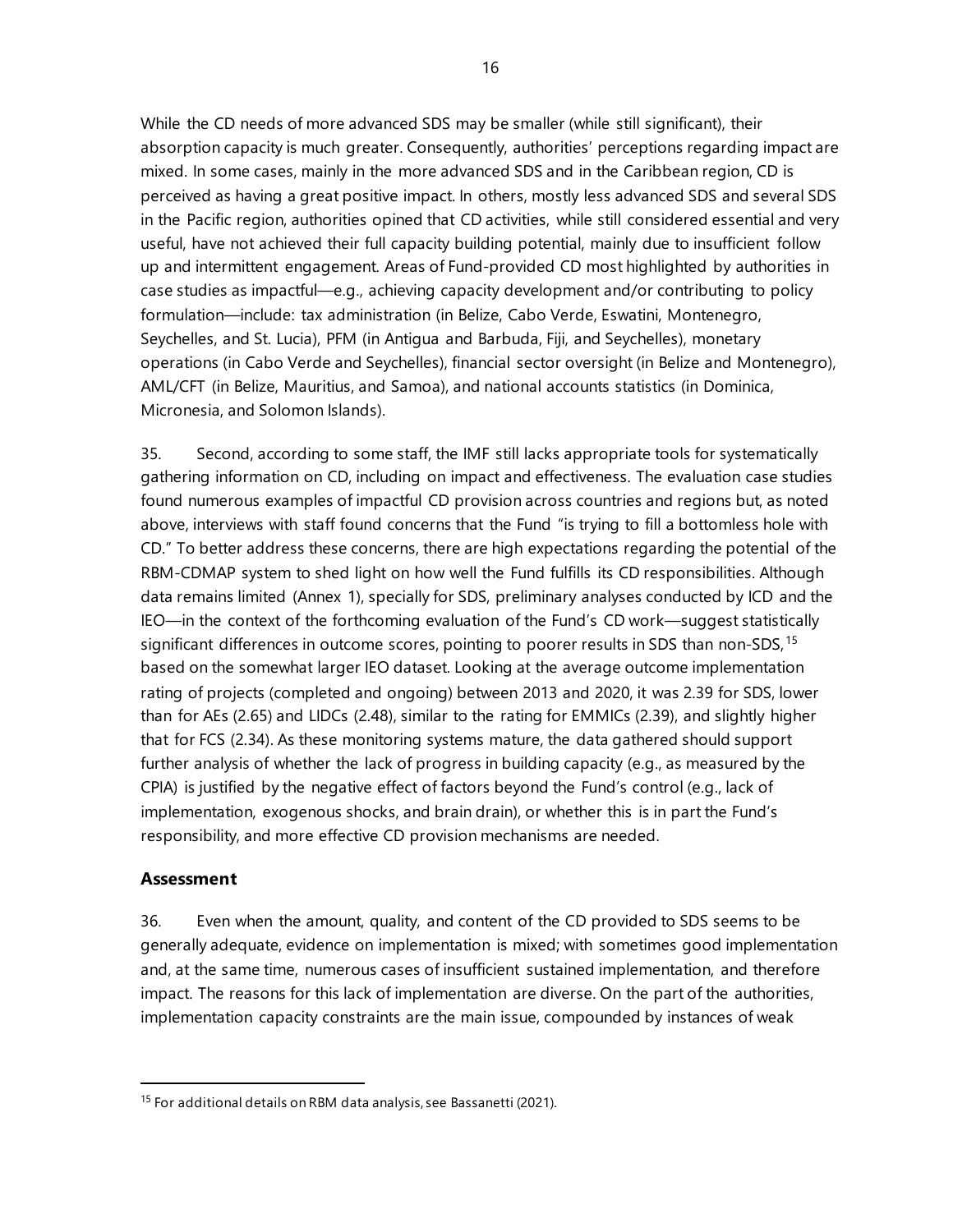While the CD needs of more advanced SDS may be smaller (while still significant), their absorption capacity is much greater. Consequently, authorities' perceptions regarding impact are mixed. In some cases, mainly in the more advanced SDS and in the Caribbean region, CD is perceived as having a great positive impact. In others, mostly less advanced SDS and several SDS in the Pacific region, authorities opined that CD activities, while still considered essential and very useful, have not achieved their full capacity building potential, mainly due to insufficient follow up and intermittent engagement. Areas of Fund-provided CD most highlighted by authorities in case studies as impactful—e.g., achieving capacity development and/or contributing to policy formulation—include: tax administration (in Belize, Cabo Verde, Eswatini, Montenegro, Seychelles, and St. Lucia), PFM (in Antigua and Barbuda, Fiji, and Seychelles), monetary operations (in Cabo Verde and Seychelles), financial sector oversight (in Belize and Montenegro), AML/CFT (in Belize, Mauritius, and Samoa), and national accounts statistics (in Dominica, Micronesia, and Solomon Islands).

35. Second, according to some staff, the IMF still lacks appropriate tools for systematically gathering information on CD, including on impact and effectiveness. The evaluation case studies found numerous examples of impactful CD provision across countries and regions but, as noted above, interviews with staff found concerns that the Fund "is trying to fill a bottomless hole with CD." To better address these concerns, there are high expectations regarding the potential of the RBM-CDMAP system to shed light on how well the Fund fulfills its CD responsibilities. Although data remains limited (Annex 1), specially for SDS, preliminary analyses conducted by ICD and the IEO—in the context of the forthcoming evaluation of the Fund's CD work—suggest statistically significant differences in outcome scores, pointing to poorer results in SDS than non-SDS, [15](#page-21-0) based on the somewhat larger IEO dataset. Looking at the average outcome implementation rating of projects (completed and ongoing) between 2013 and 2020, it was 2.39 for SDS, lower than for AEs (2.65) and LIDCs (2.48), similar to the rating for EMMICs (2.39), and slightly higher that for FCS (2.34). As these monitoring systems mature, the data gathered should support further analysis of whether the lack of progress in building capacity (e.g., as measured by the CPIA) is justified by the negative effect of factors beyond the Fund's control (e.g., lack of implementation, exogenous shocks, and brain drain), or whether this is in part the Fund's responsibility, and more effective CD provision mechanisms are needed.

## **Assessment**

36. Even when the amount, quality, and content of the CD provided to SDS seems to be generally adequate, evidence on implementation is mixed; with sometimes good implementation and, at the same time, numerous cases of insufficient sustained implementation, and therefore impact. The reasons for this lack of implementation are diverse. On the part of the authorities, implementation capacity constraints are the main issue, compounded by instances of weak

<span id="page-21-0"></span><sup>&</sup>lt;sup>15</sup> For additional details on RBM data analysis, see Bassanetti (2021).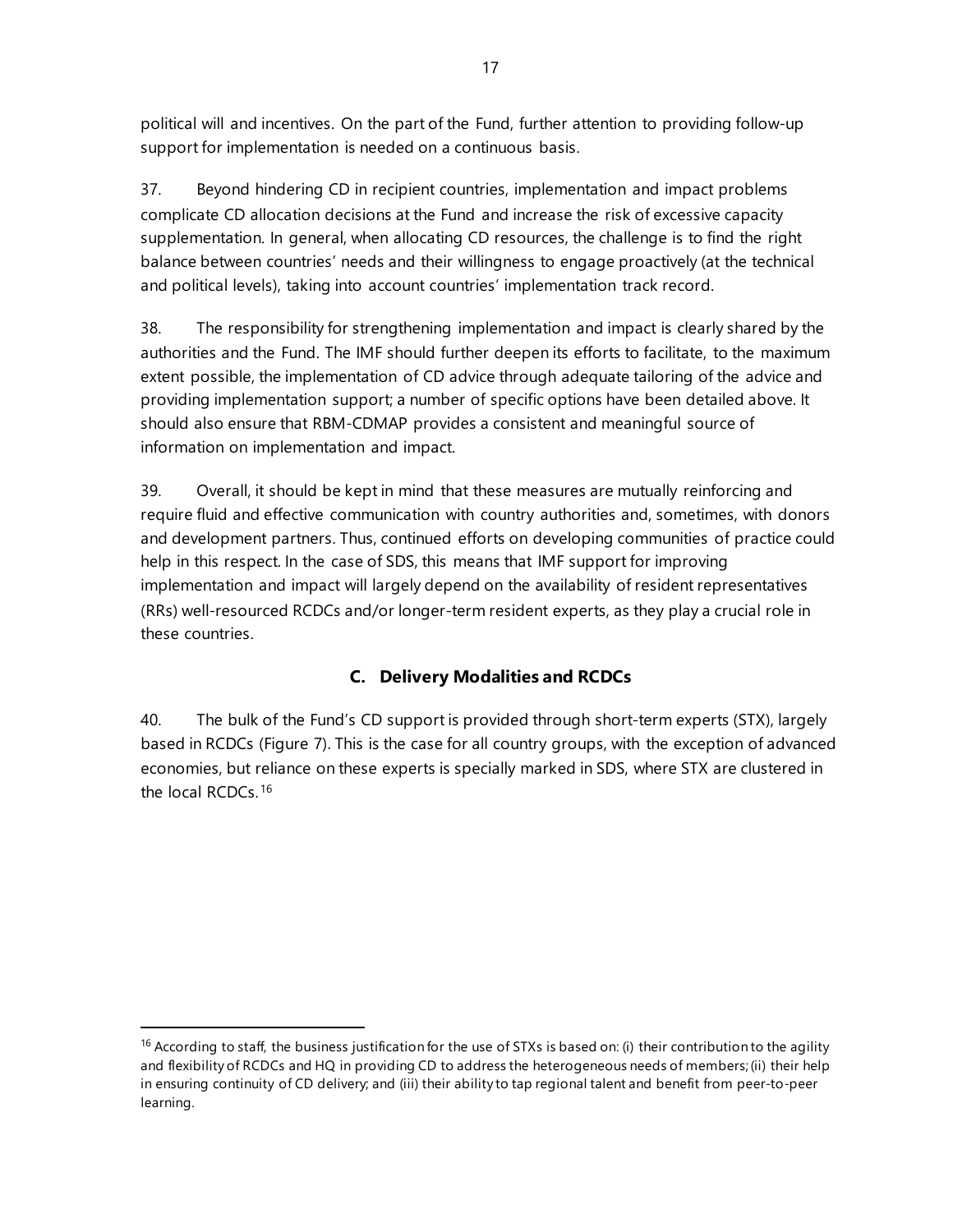political will and incentives. On the part of the Fund, further attention to providing follow-up support for implementation is needed on a continuous basis.

37. Beyond hindering CD in recipient countries, implementation and impact problems complicate CD allocation decisions at the Fund and increase the risk of excessive capacity supplementation. In general, when allocating CD resources, the challenge is to find the right balance between countries' needs and their willingness to engage proactively (at the technical and political levels), taking into account countries' implementation track record.

38. The responsibility for strengthening implementation and impact is clearly shared by the authorities and the Fund. The IMF should further deepen its efforts to facilitate, to the maximum extent possible, the implementation of CD advice through adequate tailoring of the advice and providing implementation support; a number of specific options have been detailed above. It should also ensure that RBM-CDMAP provides a consistent and meaningful source of information on implementation and impact.

39. Overall, it should be kept in mind that these measures are mutually reinforcing and require fluid and effective communication with country authorities and, sometimes, with donors and development partners. Thus, continued efforts on developing communities of practice could help in this respect. In the case of SDS, this means that IMF support for improving implementation and impact will largely depend on the availability of resident representatives (RRs) well-resourced RCDCs and/or longer-term resident experts, as they play a crucial role in these countries.

# **C. Delivery Modalities and RCDCs**

40. The bulk of the Fund's CD support is provided through short-term experts (STX), largely based in RCDCs (Figure 7). This is the case for all country groups, with the exception of advanced economies, but reliance on these experts is specially marked in SDS, where STX are clustered in the local RCDCs. [16](#page-22-0)

<span id="page-22-0"></span><sup>&</sup>lt;sup>16</sup> According to staff, the business justification for the use of STXs is based on: (i) their contribution to the agility and flexibility of RCDCs and HQ in providing CD to address the heterogeneous needs of members;(ii) their help in ensuring continuity of CD delivery; and (iii) their ability to tap regional talent and benefit from peer-to-peer learning.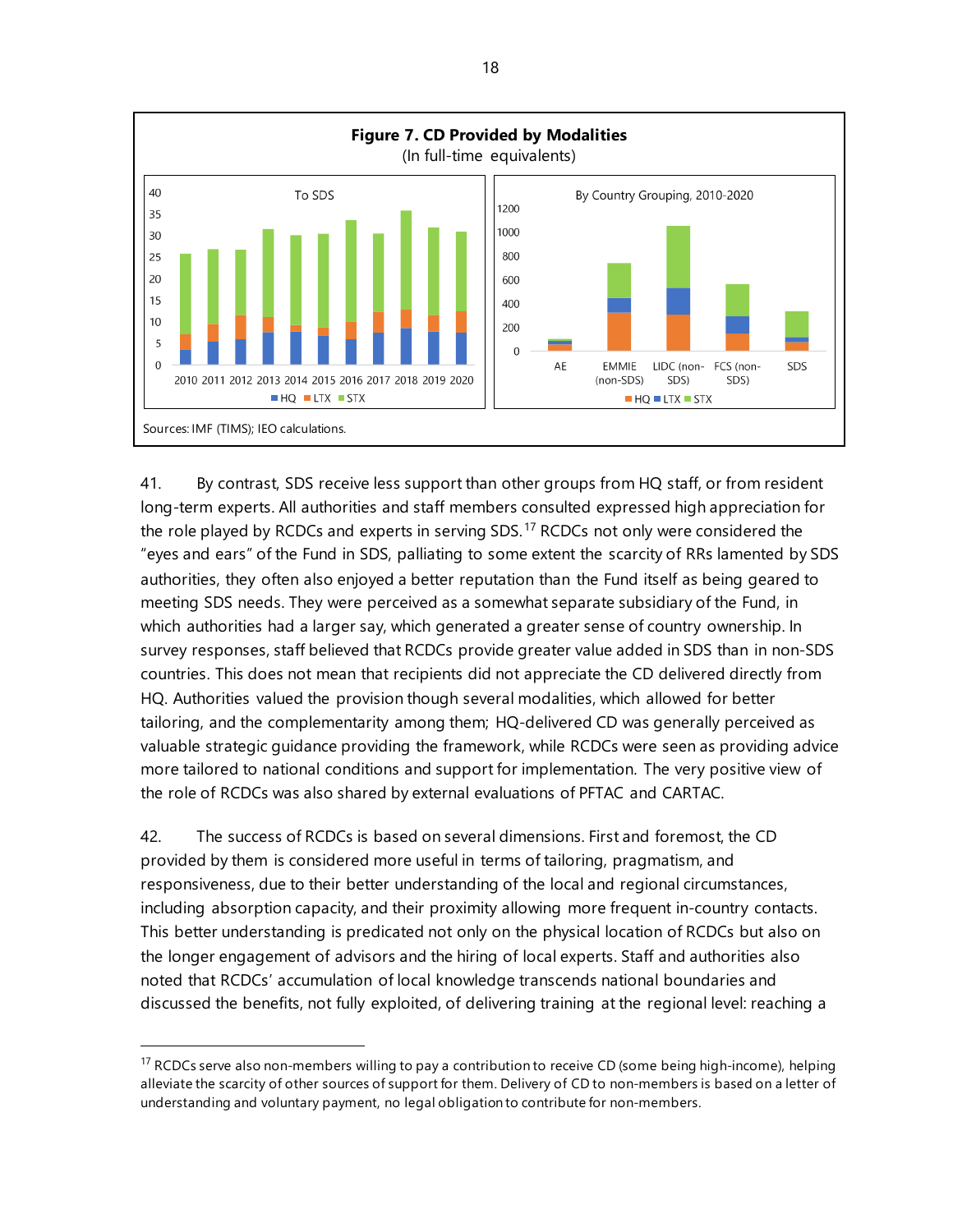

41. By contrast, SDS receive less support than other groups from HQ staff, or from resident long-term experts. All authorities and staff members consulted expressed high appreciation for the role played by RCDCs and experts in serving SDS.<sup>[17](#page-23-0)</sup> RCDCs not only were considered the "eyes and ears" of the Fund in SDS, palliating to some extent the scarcity of RRs lamented by SDS authorities, they often also enjoyed a better reputation than the Fund itself as being geared to meeting SDS needs. They were perceived as a somewhat separate subsidiary of the Fund, in which authorities had a larger say, which generated a greater sense of country ownership. In survey responses, staff believed that RCDCs provide greater value added in SDS than in non-SDS countries. This does not mean that recipients did not appreciate the CD delivered directly from HQ. Authorities valued the provision though several modalities, which allowed for better tailoring, and the complementarity among them; HQ-delivered CD was generally perceived as valuable strategic guidance providing the framework, while RCDCs were seen as providing advice more tailored to national conditions and support for implementation. The very positive view of the role of RCDCs was also shared by external evaluations of PFTAC and CARTAC.

42. The success of RCDCs is based on several dimensions. First and foremost, the CD provided by them is considered more useful in terms of tailoring, pragmatism, and responsiveness, due to their better understanding of the local and regional circumstances, including absorption capacity, and their proximity allowing more frequent in-country contacts. This better understanding is predicated not only on the physical location of RCDCs but also on the longer engagement of advisors and the hiring of local experts. Staff and authorities also noted that RCDCs' accumulation of local knowledge transcends national boundaries and discussed the benefits, not fully exploited, of delivering training at the regional level: reaching a

<span id="page-23-0"></span><sup>&</sup>lt;sup>17</sup> RCDCs serve also non-members willing to pay a contribution to receive CD (some being high-income), helping alleviate the scarcity of other sources of support for them. Delivery of CD to non-members is based on a letter of understanding and voluntary payment, no legal obligation to contribute for non-members.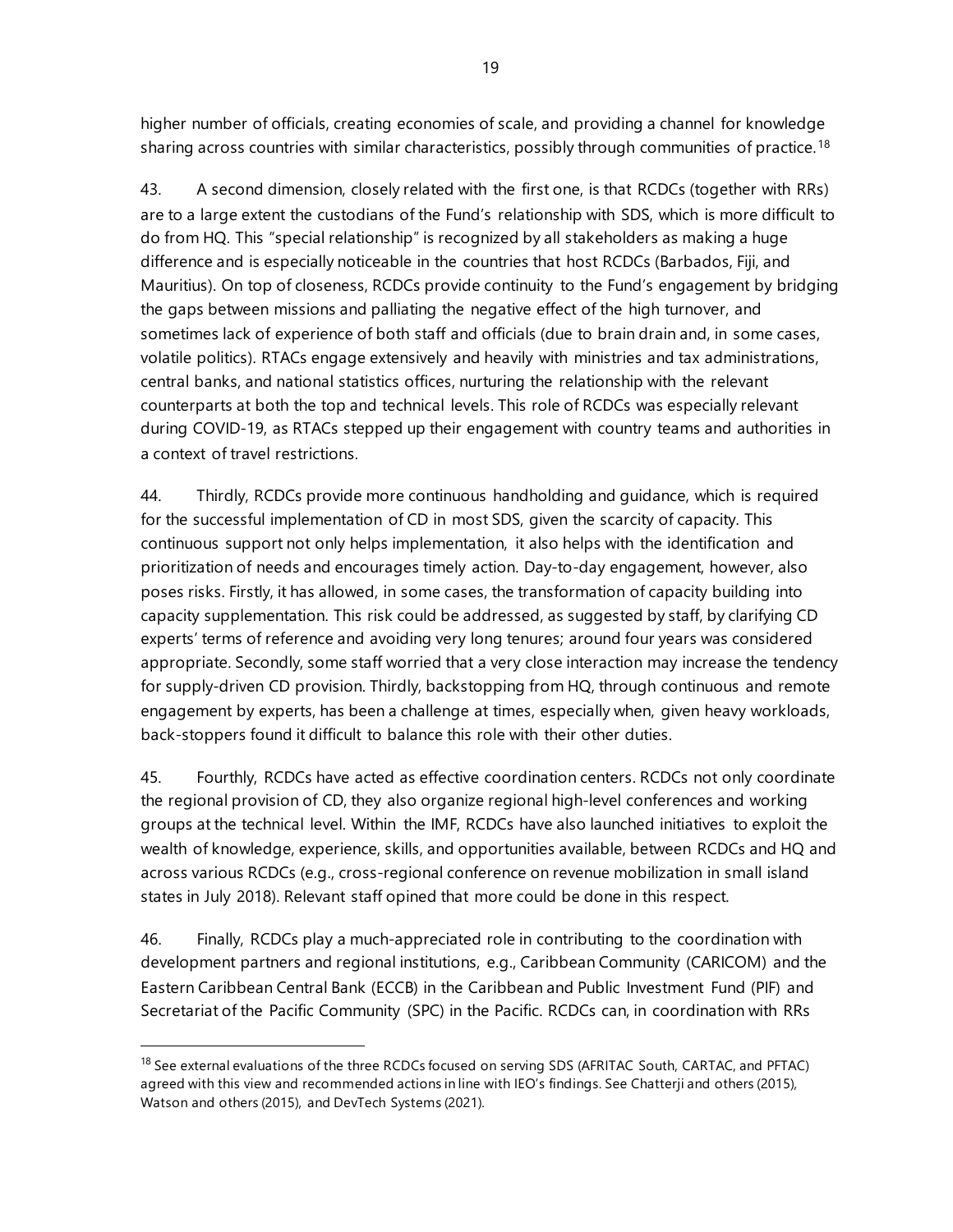higher number of officials, creating economies of scale, and providing a channel for knowledge sharing across countries with similar characteristics, possibly through communities of practice.<sup>[18](#page-24-0)</sup>

43. A second dimension, closely related with the first one, is that RCDCs (together with RRs) are to a large extent the custodians of the Fund's relationship with SDS, which is more difficult to do from HQ. This "special relationship" is recognized by all stakeholders as making a huge difference and is especially noticeable in the countries that host RCDCs (Barbados, Fiji, and Mauritius). On top of closeness, RCDCs provide continuity to the Fund's engagement by bridging the gaps between missions and palliating the negative effect of the high turnover, and sometimes lack of experience of both staff and officials (due to brain drain and, in some cases, volatile politics). RTACs engage extensively and heavily with ministries and tax administrations, central banks, and national statistics offices, nurturing the relationship with the relevant counterparts at both the top and technical levels. This role of RCDCs was especially relevant during COVID-19, as RTACs stepped up their engagement with country teams and authorities in a context of travel restrictions.

44. Thirdly, RCDCs provide more continuous handholding and guidance, which is required for the successful implementation of CD in most SDS, given the scarcity of capacity. This continuous support not only helps implementation, it also helps with the identification and prioritization of needs and encourages timely action. Day-to-day engagement, however, also poses risks. Firstly, it has allowed, in some cases, the transformation of capacity building into capacity supplementation. This risk could be addressed, as suggested by staff, by clarifying CD experts' terms of reference and avoiding very long tenures; around four years was considered appropriate. Secondly, some staff worried that a very close interaction may increase the tendency for supply-driven CD provision. Thirdly, backstopping from HQ, through continuous and remote engagement by experts, has been a challenge at times, especially when, given heavy workloads, back-stoppers found it difficult to balance this role with their other duties.

45. Fourthly, RCDCs have acted as effective coordination centers. RCDCs not only coordinate the regional provision of CD, they also organize regional high-level conferences and working groups at the technical level. Within the IMF, RCDCs have also launched initiatives to exploit the wealth of knowledge, experience, skills, and opportunities available, between RCDCs and HQ and across various RCDCs (e.g., cross-regional conference on revenue mobilization in small island states in July 2018). Relevant staff opined that more could be done in this respect.

46. Finally, RCDCs play a much-appreciated role in contributing to the coordination with development partners and regional institutions, e.g., Caribbean Community (CARICOM) and the Eastern Caribbean Central Bank (ECCB) in the Caribbean and Public Investment Fund (PIF) and Secretariat of the Pacific Community (SPC) in the Pacific. RCDCs can, in coordination with RRs

<span id="page-24-0"></span><sup>&</sup>lt;sup>18</sup> See external evaluations of the three RCDCs focused on serving SDS (AFRITAC South, CARTAC, and PFTAC) agreed with this view and recommended actions in line with IEO's findings. See Chatterji and others (2015), Watson and others (2015), and DevTech Systems (2021).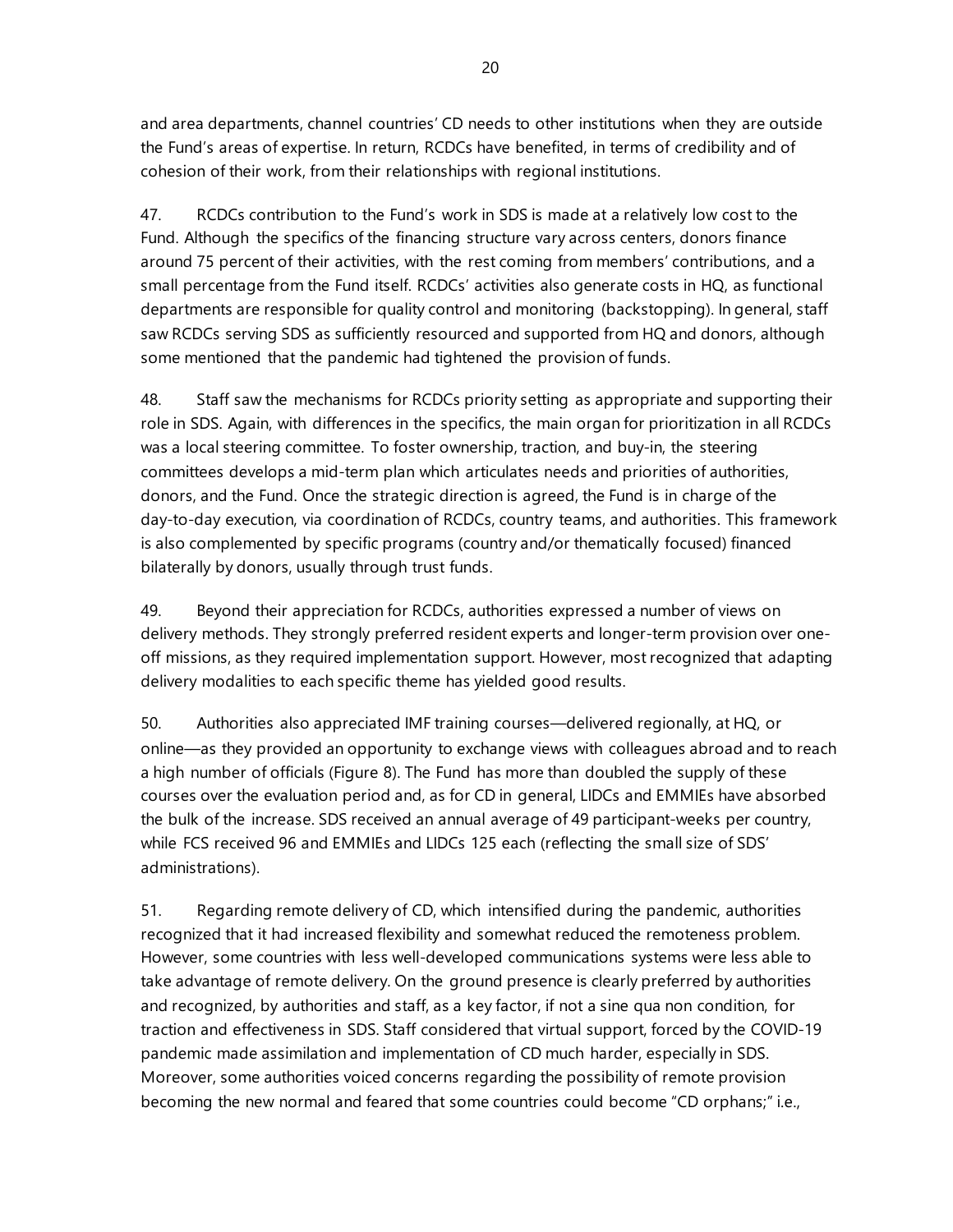and area departments, channel countries' CD needs to other institutions when they are outside the Fund's areas of expertise. In return, RCDCs have benefited, in terms of credibility and of cohesion of their work, from their relationships with regional institutions.

47. RCDCs contribution to the Fund's work in SDS is made at a relatively low cost to the Fund. Although the specifics of the financing structure vary across centers, donors finance around 75 percent of their activities, with the rest coming from members' contributions, and a small percentage from the Fund itself. RCDCs' activities also generate costs in HQ, as functional departments are responsible for quality control and monitoring (backstopping). In general, staff saw RCDCs serving SDS as sufficiently resourced and supported from HQ and donors, although some mentioned that the pandemic had tightened the provision of funds.

48. Staff saw the mechanisms for RCDCs priority setting as appropriate and supporting their role in SDS. Again, with differences in the specifics, the main organ for prioritization in all RCDCs was a local steering committee. To foster ownership, traction, and buy-in, the steering committees develops a mid-term plan which articulates needs and priorities of authorities, donors, and the Fund. Once the strategic direction is agreed, the Fund is in charge of the day-to-day execution, via coordination of RCDCs, country teams, and authorities. This framework is also complemented by specific programs (country and/or thematically focused) financed bilaterally by donors, usually through trust funds.

49. Beyond their appreciation for RCDCs, authorities expressed a number of views on delivery methods. They strongly preferred resident experts and longer-term provision over oneoff missions, as they required implementation support. However, most recognized that adapting delivery modalities to each specific theme has yielded good results.

50. Authorities also appreciated IMF training courses—delivered regionally, at HQ, or online—as they provided an opportunity to exchange views with colleagues abroad and to reach a high number of officials (Figure 8). The Fund has more than doubled the supply of these courses over the evaluation period and, as for CD in general, LIDCs and EMMIEs have absorbed the bulk of the increase. SDS received an annual average of 49 participant-weeks per country, while FCS received 96 and EMMIEs and LIDCs 125 each (reflecting the small size of SDS' administrations).

51. Regarding remote delivery of CD, which intensified during the pandemic, authorities recognized that it had increased flexibility and somewhat reduced the remoteness problem. However, some countries with less well-developed communications systems were less able to take advantage of remote delivery. On the ground presence is clearly preferred by authorities and recognized, by authorities and staff, as a key factor, if not a sine qua non condition, for traction and effectiveness in SDS. Staff considered that virtual support, forced by the COVID-19 pandemic made assimilation and implementation of CD much harder, especially in SDS. Moreover, some authorities voiced concerns regarding the possibility of remote provision becoming the new normal and feared that some countries could become "CD orphans;" i.e.,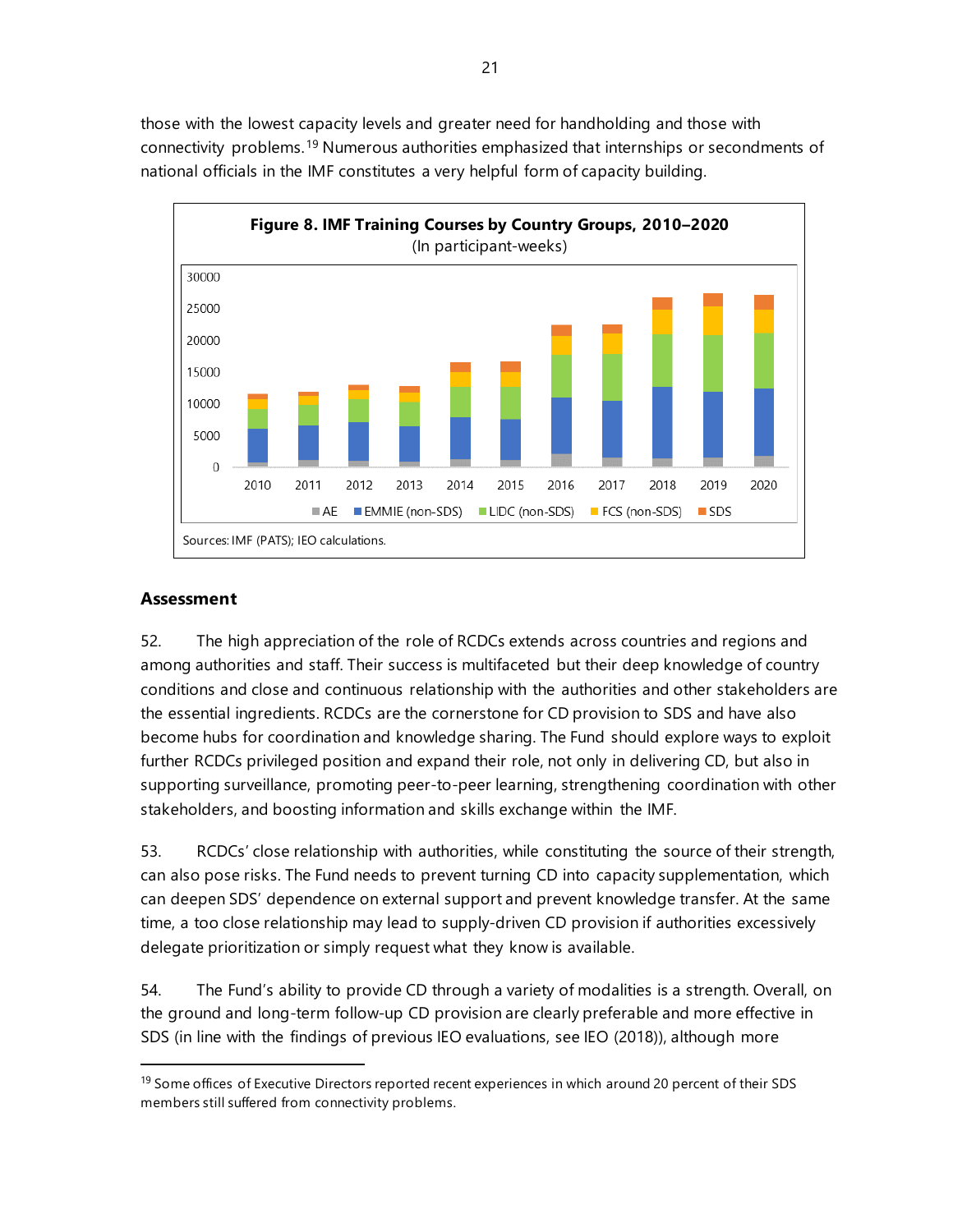those with the lowest capacity levels and greater need for handholding and those with connectivity problems.[19](#page-26-0) Numerous authorities emphasized that internships or secondments of national officials in the IMF constitutes a very helpful form of capacity building.



## **Assessment**

52. The high appreciation of the role of RCDCs extends across countries and regions and among authorities and staff. Their success is multifaceted but their deep knowledge of country conditions and close and continuous relationship with the authorities and other stakeholders are the essential ingredients. RCDCs are the cornerstone for CD provision to SDS and have also become hubs for coordination and knowledge sharing. The Fund should explore ways to exploit further RCDCs privileged position and expand their role, not only in delivering CD, but also in supporting surveillance, promoting peer-to-peer learning, strengthening coordination with other stakeholders, and boosting information and skills exchange within the IMF.

53. RCDCs' close relationship with authorities, while constituting the source of their strength, can also pose risks. The Fund needs to prevent turning CD into capacity supplementation, which can deepen SDS' dependence on external support and prevent knowledge transfer. At the same time, a too close relationship may lead to supply-driven CD provision if authorities excessively delegate prioritization or simply request what they know is available.

54. The Fund's ability to provide CD through a variety of modalities is a strength. Overall, on the ground and long-term follow-up CD provision are clearly preferable and more effective in SDS (in line with the findings of previous IEO evaluations, see IEO (2018)), although more

<span id="page-26-0"></span><sup>&</sup>lt;sup>19</sup> Some offices of Executive Directors reported recent experiences in which around 20 percent of their SDS members still suffered from connectivity problems.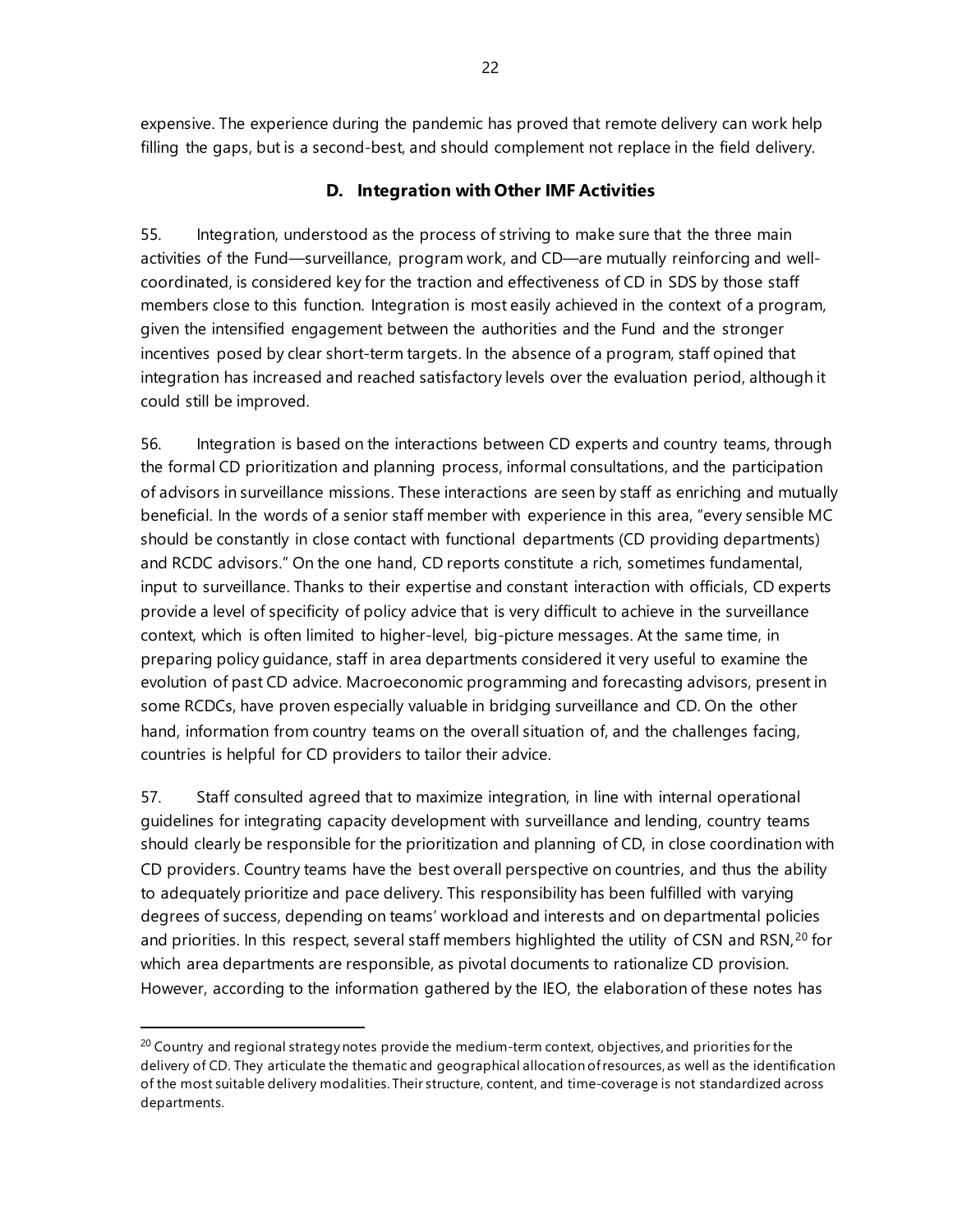expensive. The experience during the pandemic has proved that remote delivery can work help filling the gaps, but is a second-best, and should complement not replace in the field delivery.

# **D. Integration with Other IMF Activities**

55. Integration, understood as the process of striving to make sure that the three main activities of the Fund—surveillance, program work, and CD—are mutually reinforcing and wellcoordinated, is considered key for the traction and effectiveness of CD in SDS by those staff members close to this function. Integration is most easily achieved in the context of a program, given the intensified engagement between the authorities and the Fund and the stronger incentives posed by clear short-term targets. In the absence of a program, staff opined that integration has increased and reached satisfactory levels over the evaluation period, although it could still be improved.

56. Integration is based on the interactions between CD experts and country teams, through the formal CD prioritization and planning process, informal consultations, and the participation of advisors in surveillance missions. These interactions are seen by staff as enriching and mutually beneficial. In the words of a senior staff member with experience in this area, "every sensible MC should be constantly in close contact with functional departments (CD providing departments) and RCDC advisors." On the one hand, CD reports constitute a rich, sometimes fundamental, input to surveillance. Thanks to their expertise and constant interaction with officials, CD experts provide a level of specificity of policy advice that is very difficult to achieve in the surveillance context, which is often limited to higher-level, big-picture messages. At the same time, in preparing policy guidance, staff in area departments considered it very useful to examine the evolution of past CD advice. Macroeconomic programming and forecasting advisors, present in some RCDCs, have proven especially valuable in bridging surveillance and CD. On the other hand, information from country teams on the overall situation of, and the challenges facing, countries is helpful for CD providers to tailor their advice.

57. Staff consulted agreed that to maximize integration, in line with internal operational guidelines for integrating capacity development with surveillance and lending, country teams should clearly be responsible for the prioritization and planning of CD, in close coordination with CD providers. Country teams have the best overall perspective on countries, and thus the ability to adequately prioritize and pace delivery. This responsibility has been fulfilled with varying degrees of success, depending on teams' workload and interests and on departmental policies and priorities. In this respect, several staff members highlighted the utility of CSN and RSN,<sup>[20](#page-27-0)</sup> for which area departments are responsible, as pivotal documents to rationalize CD provision. However, according to the information gathered by the IEO, the elaboration of these notes has

<span id="page-27-0"></span> $^{20}$  Country and regional strategy notes provide the medium-term context, objectives, and priorities for the delivery of CD. They articulate the thematic and geographical allocation of resources, as well as the identification of the most suitable delivery modalities. Their structure, content, and time-coverage is not standardized across departments.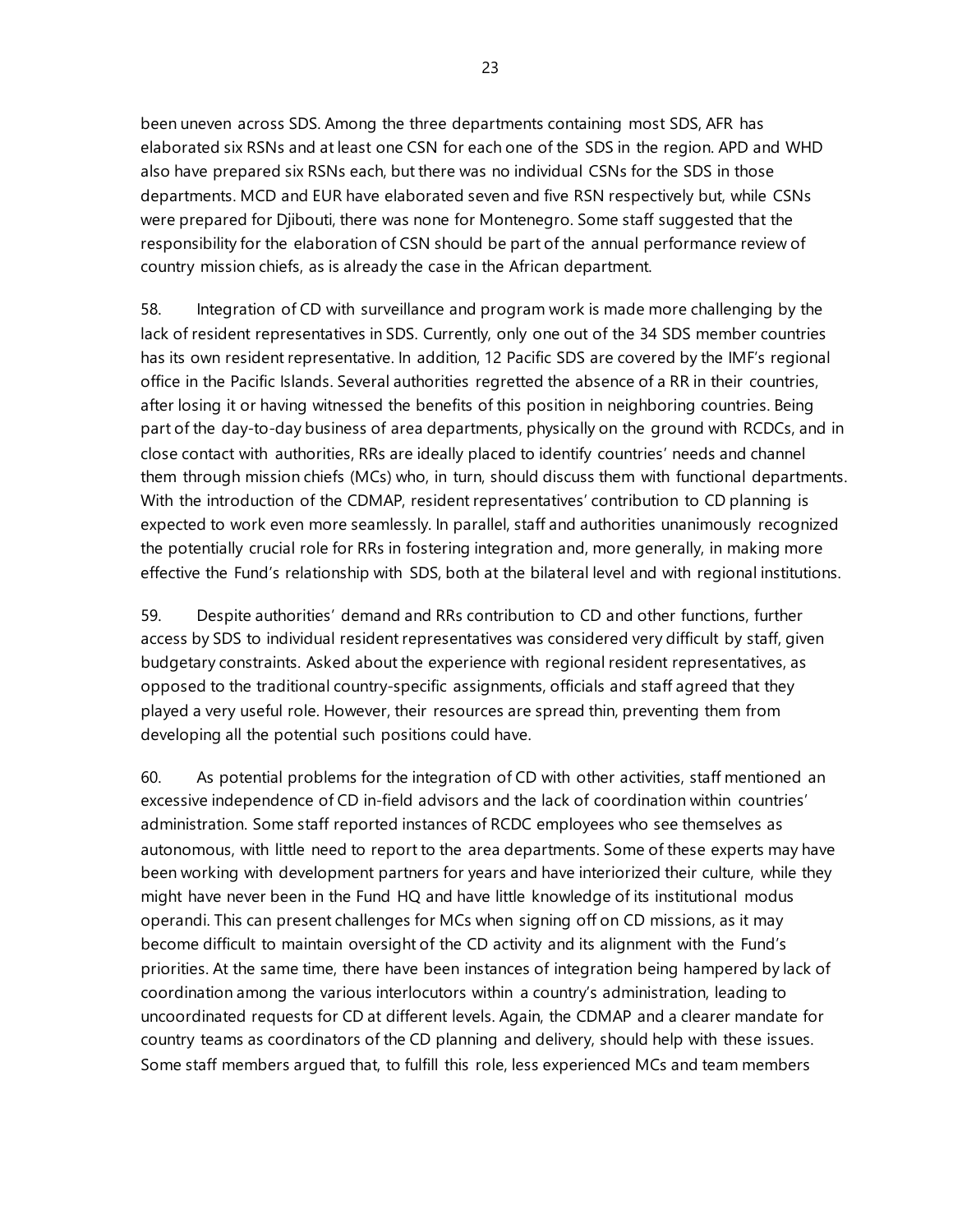been uneven across SDS. Among the three departments containing most SDS, AFR has elaborated six RSNs and at least one CSN for each one of the SDS in the region. APD and WHD also have prepared six RSNs each, but there was no individual CSNs for the SDS in those departments. MCD and EUR have elaborated seven and five RSN respectively but, while CSNs were prepared for Djibouti, there was none for Montenegro. Some staff suggested that the responsibility for the elaboration of CSN should be part of the annual performance review of country mission chiefs, as is already the case in the African department.

58. Integration of CD with surveillance and program work is made more challenging by the lack of resident representatives in SDS. Currently, only one out of the 34 SDS member countries has its own resident representative. In addition, 12 Pacific SDS are covered by the IMF's regional office in the Pacific Islands. Several authorities regretted the absence of a RR in their countries, after losing it or having witnessed the benefits of this position in neighboring countries. Being part of the day-to-day business of area departments, physically on the ground with RCDCs, and in close contact with authorities, RRs are ideally placed to identify countries' needs and channel them through mission chiefs (MCs) who, in turn, should discuss them with functional departments. With the introduction of the CDMAP, resident representatives' contribution to CD planning is expected to work even more seamlessly. In parallel, staff and authorities unanimously recognized the potentially crucial role for RRs in fostering integration and, more generally, in making more effective the Fund's relationship with SDS, both at the bilateral level and with regional institutions.

59. Despite authorities' demand and RRs contribution to CD and other functions, further access by SDS to individual resident representatives was considered very difficult by staff, given budgetary constraints. Asked about the experience with regional resident representatives, as opposed to the traditional country-specific assignments, officials and staff agreed that they played a very useful role. However, their resources are spread thin, preventing them from developing all the potential such positions could have.

60. As potential problems for the integration of CD with other activities, staff mentioned an excessive independence of CD in-field advisors and the lack of coordination within countries' administration. Some staff reported instances of RCDC employees who see themselves as autonomous, with little need to report to the area departments. Some of these experts may have been working with development partners for years and have interiorized their culture, while they might have never been in the Fund HQ and have little knowledge of its institutional modus operandi. This can present challenges for MCs when signing off on CD missions, as it may become difficult to maintain oversight of the CD activity and its alignment with the Fund's priorities. At the same time, there have been instances of integration being hampered by lack of coordination among the various interlocutors within a country's administration, leading to uncoordinated requests for CD at different levels. Again, the CDMAP and a clearer mandate for country teams as coordinators of the CD planning and delivery, should help with these issues. Some staff members argued that, to fulfill this role, less experienced MCs and team members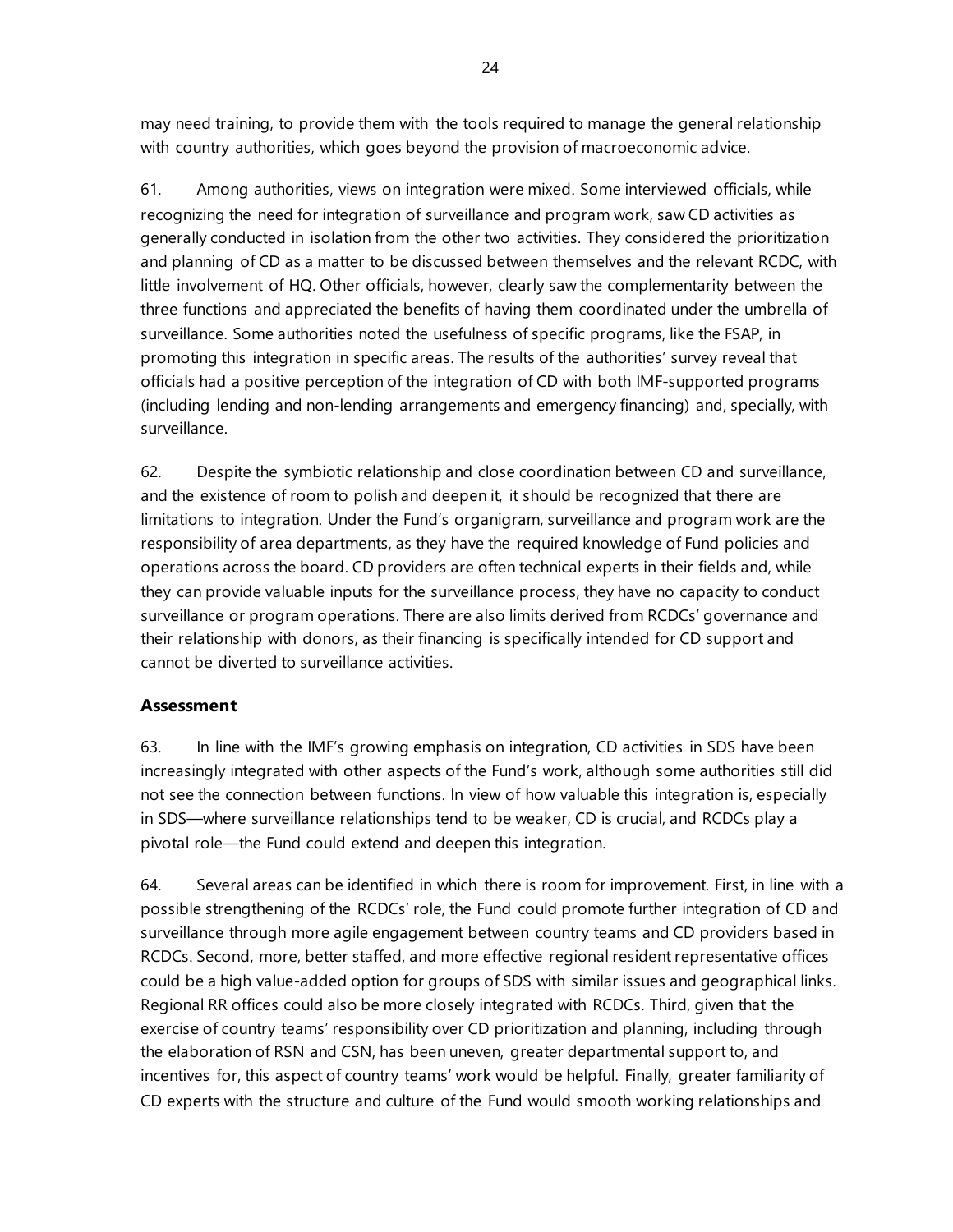may need training, to provide them with the tools required to manage the general relationship with country authorities, which goes beyond the provision of macroeconomic advice.

61. Among authorities, views on integration were mixed. Some interviewed officials, while recognizing the need for integration of surveillance and program work, saw CD activities as generally conducted in isolation from the other two activities. They considered the prioritization and planning of CD as a matter to be discussed between themselves and the relevant RCDC, with little involvement of HQ. Other officials, however, clearly saw the complementarity between the three functions and appreciated the benefits of having them coordinated under the umbrella of surveillance. Some authorities noted the usefulness of specific programs, like the FSAP, in promoting this integration in specific areas. The results of the authorities' survey reveal that officials had a positive perception of the integration of CD with both IMF-supported programs (including lending and non-lending arrangements and emergency financing) and, specially, with surveillance.

62. Despite the symbiotic relationship and close coordination between CD and surveillance, and the existence of room to polish and deepen it, it should be recognized that there are limitations to integration. Under the Fund's organigram, surveillance and program work are the responsibility of area departments, as they have the required knowledge of Fund policies and operations across the board. CD providers are often technical experts in their fields and, while they can provide valuable inputs for the surveillance process, they have no capacity to conduct surveillance or program operations. There are also limits derived from RCDCs' governance and their relationship with donors, as their financing is specifically intended for CD support and cannot be diverted to surveillance activities.

# **Assessment**

63. In line with the IMF's growing emphasis on integration, CD activities in SDS have been increasingly integrated with other aspects of the Fund's work, although some authorities still did not see the connection between functions. In view of how valuable this integration is, especially in SDS—where surveillance relationships tend to be weaker, CD is crucial, and RCDCs play a pivotal role—the Fund could extend and deepen this integration.

64. Several areas can be identified in which there is room for improvement. First, in line with a possible strengthening of the RCDCs' role, the Fund could promote further integration of CD and surveillance through more agile engagement between country teams and CD providers based in RCDCs. Second, more, better staffed, and more effective regional resident representative offices could be a high value-added option for groups of SDS with similar issues and geographical links. Regional RR offices could also be more closely integrated with RCDCs. Third, given that the exercise of country teams' responsibility over CD prioritization and planning, including through the elaboration of RSN and CSN, has been uneven, greater departmental support to, and incentives for, this aspect of country teams' work would be helpful. Finally, greater familiarity of CD experts with the structure and culture of the Fund would smooth working relationships and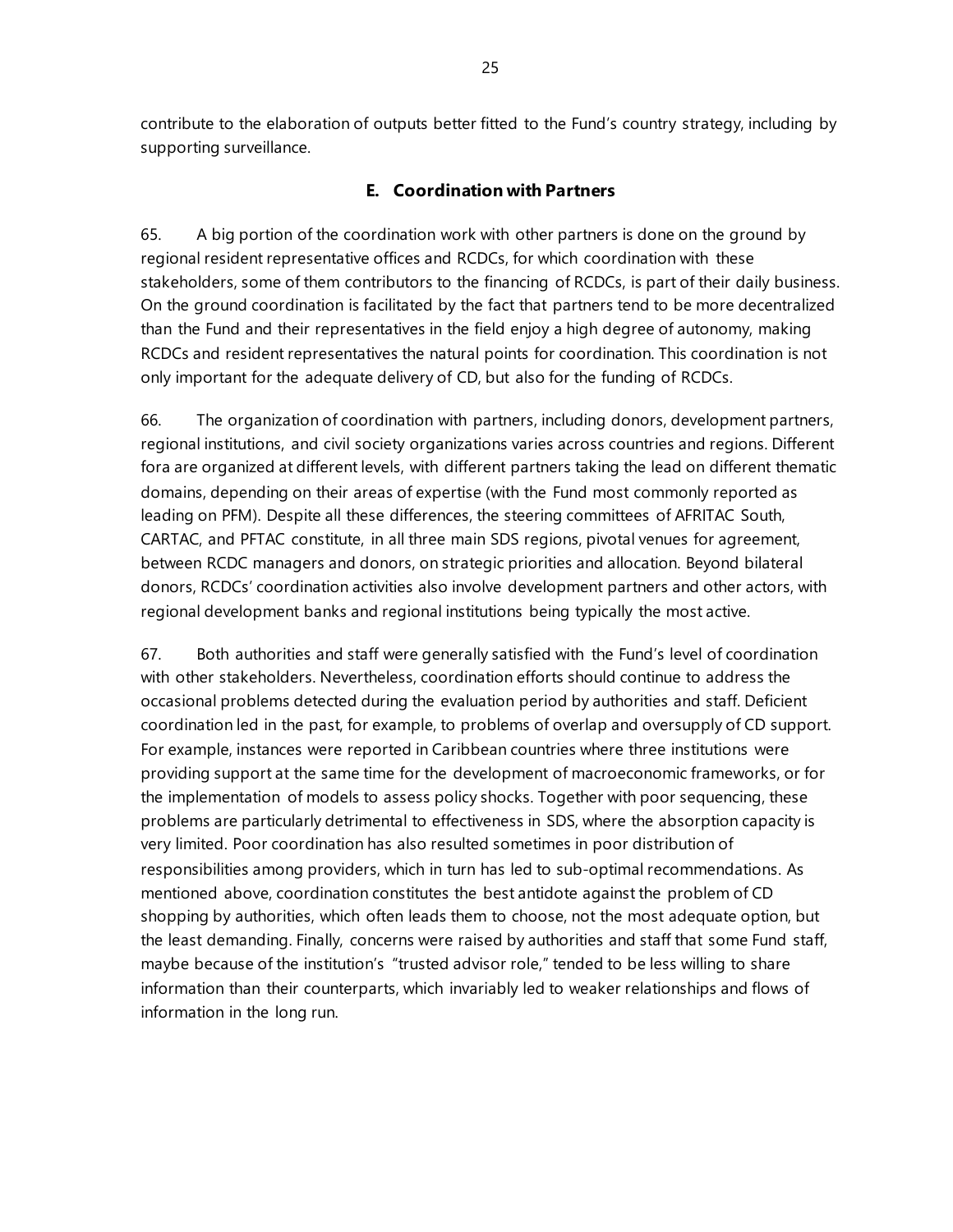contribute to the elaboration of outputs better fitted to the Fund's country strategy, including by supporting surveillance.

## **E. Coordination with Partners**

65. A big portion of the coordination work with other partners is done on the ground by regional resident representative offices and RCDCs, for which coordination with these stakeholders, some of them contributors to the financing of RCDCs, is part of their daily business. On the ground coordination is facilitated by the fact that partners tend to be more decentralized than the Fund and their representatives in the field enjoy a high degree of autonomy, making RCDCs and resident representatives the natural points for coordination. This coordination is not only important for the adequate delivery of CD, but also for the funding of RCDCs.

66. The organization of coordination with partners, including donors, development partners, regional institutions, and civil society organizations varies across countries and regions. Different fora are organized at different levels, with different partners taking the lead on different thematic domains, depending on their areas of expertise (with the Fund most commonly reported as leading on PFM). Despite all these differences, the steering committees of AFRITAC South, CARTAC, and PFTAC constitute, in all three main SDS regions, pivotal venues for agreement, between RCDC managers and donors, on strategic priorities and allocation. Beyond bilateral donors, RCDCs' coordination activities also involve development partners and other actors, with regional development banks and regional institutions being typically the most active.

67. Both authorities and staff were generally satisfied with the Fund's level of coordination with other stakeholders. Nevertheless, coordination efforts should continue to address the occasional problems detected during the evaluation period by authorities and staff. Deficient coordination led in the past, for example, to problems of overlap and oversupply of CD support. For example, instances were reported in Caribbean countries where three institutions were providing support at the same time for the development of macroeconomic frameworks, or for the implementation of models to assess policy shocks. Together with poor sequencing, these problems are particularly detrimental to effectiveness in SDS, where the absorption capacity is very limited. Poor coordination has also resulted sometimes in poor distribution of responsibilities among providers, which in turn has led to sub-optimal recommendations. As mentioned above, coordination constitutes the best antidote against the problem of CD shopping by authorities, which often leads them to choose, not the most adequate option, but the least demanding. Finally, concerns were raised by authorities and staff that some Fund staff, maybe because of the institution's "trusted advisor role," tended to be less willing to share information than their counterparts, which invariably led to weaker relationships and flows of information in the long run.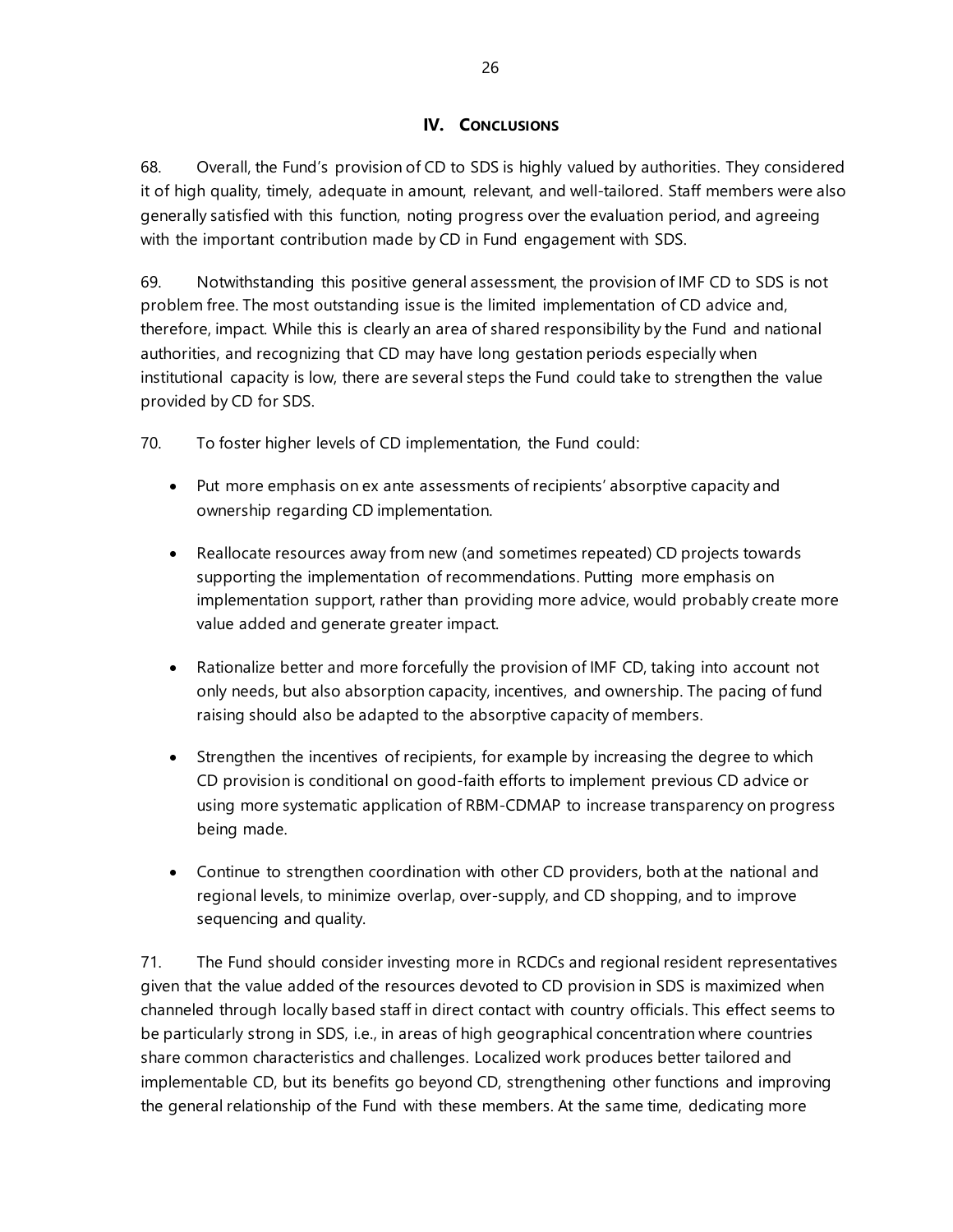## **IV. CONCLUSIONS**

68. Overall, the Fund's provision of CD to SDS is highly valued by authorities. They considered it of high quality, timely, adequate in amount, relevant, and well-tailored. Staff members were also generally satisfied with this function, noting progress over the evaluation period, and agreeing with the important contribution made by CD in Fund engagement with SDS.

69. Notwithstanding this positive general assessment, the provision of IMF CD to SDS is not problem free. The most outstanding issue is the limited implementation of CD advice and, therefore, impact. While this is clearly an area of shared responsibility by the Fund and national authorities, and recognizing that CD may have long gestation periods especially when institutional capacity is low, there are several steps the Fund could take to strengthen the value provided by CD for SDS.

70. To foster higher levels of CD implementation, the Fund could:

- Put more emphasis on ex ante assessments of recipients' absorptive capacity and ownership regarding CD implementation.
- Reallocate resources away from new (and sometimes repeated) CD projects towards supporting the implementation of recommendations. Putting more emphasis on implementation support, rather than providing more advice, would probably create more value added and generate greater impact.
- Rationalize better and more forcefully the provision of IMF CD, taking into account not only needs, but also absorption capacity, incentives, and ownership. The pacing of fund raising should also be adapted to the absorptive capacity of members.
- Strengthen the incentives of recipients, for example by increasing the degree to which CD provision is conditional on good-faith efforts to implement previous CD advice or using more systematic application of RBM-CDMAP to increase transparency on progress being made.
- Continue to strengthen coordination with other CD providers, both at the national and regional levels, to minimize overlap, over-supply, and CD shopping, and to improve sequencing and quality.

71. The Fund should consider investing more in RCDCs and regional resident representatives given that the value added of the resources devoted to CD provision in SDS is maximized when channeled through locally based staff in direct contact with country officials. This effect seems to be particularly strong in SDS, i.e., in areas of high geographical concentration where countries share common characteristics and challenges. Localized work produces better tailored and implementable CD, but its benefits go beyond CD, strengthening other functions and improving the general relationship of the Fund with these members. At the same time, dedicating more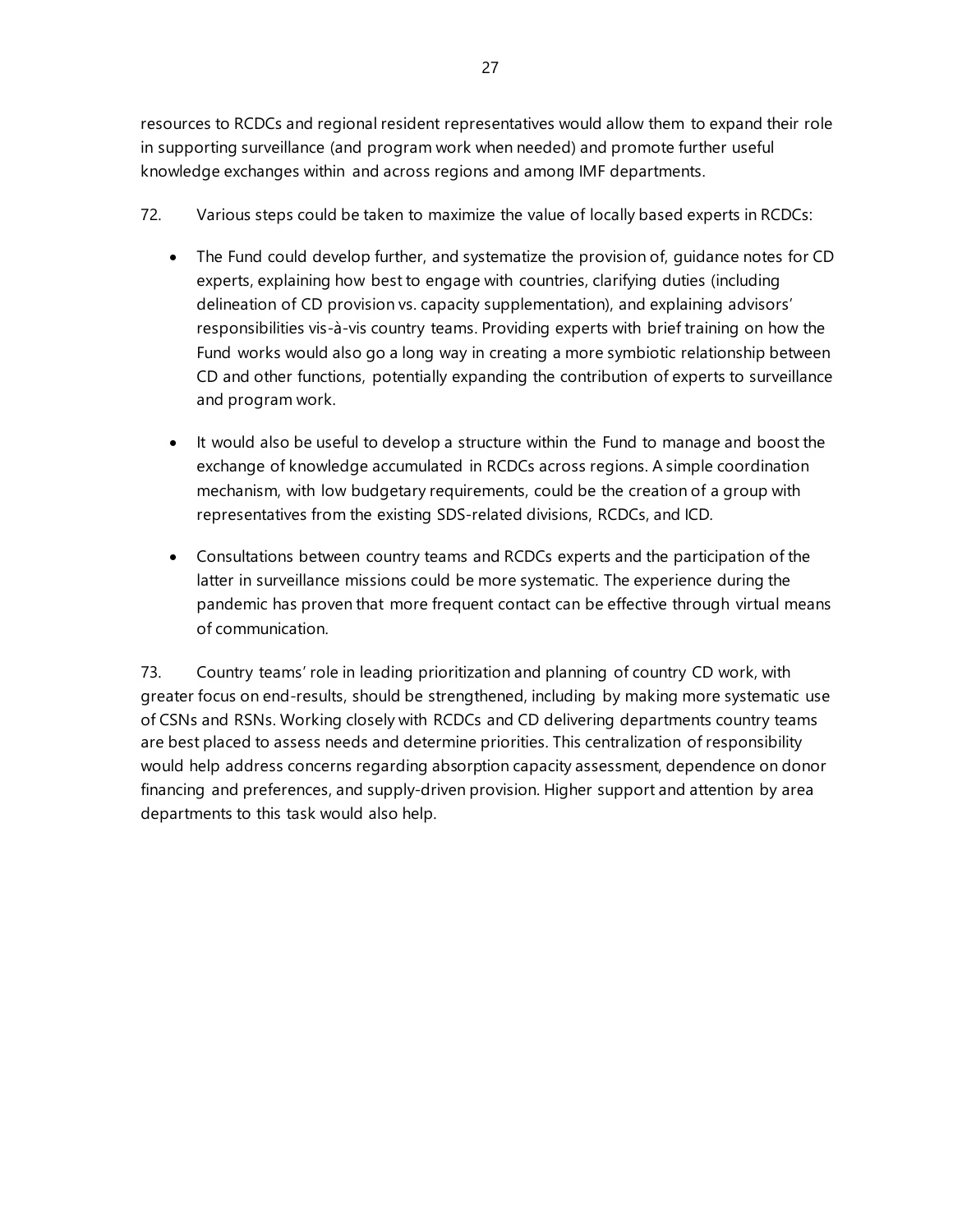27

resources to RCDCs and regional resident representatives would allow them to expand their role in supporting surveillance (and program work when needed) and promote further useful knowledge exchanges within and across regions and among IMF departments.

- 72. Various steps could be taken to maximize the value of locally based experts in RCDCs:
	- The Fund could develop further, and systematize the provision of, guidance notes for CD experts, explaining how best to engage with countries, clarifying duties (including delineation of CD provision vs. capacity supplementation), and explaining advisors' responsibilities vis-à-vis country teams. Providing experts with brief training on how the Fund works would also go a long way in creating a more symbiotic relationship between CD and other functions, potentially expanding the contribution of experts to surveillance and program work.
	- It would also be useful to develop a structure within the Fund to manage and boost the exchange of knowledge accumulated in RCDCs across regions. A simple coordination mechanism, with low budgetary requirements, could be the creation of a group with representatives from the existing SDS-related divisions, RCDCs, and ICD.
	- Consultations between country teams and RCDCs experts and the participation of the latter in surveillance missions could be more systematic. The experience during the pandemic has proven that more frequent contact can be effective through virtual means of communication.

73. Country teams' role in leading prioritization and planning of country CD work, with greater focus on end-results, should be strengthened, including by making more systematic use of CSNs and RSNs. Working closely with RCDCs and CD delivering departments country teams are best placed to assess needs and determine priorities. This centralization of responsibility would help address concerns regarding absorption capacity assessment, dependence on donor financing and preferences, and supply-driven provision. Higher support and attention by area departments to this task would also help.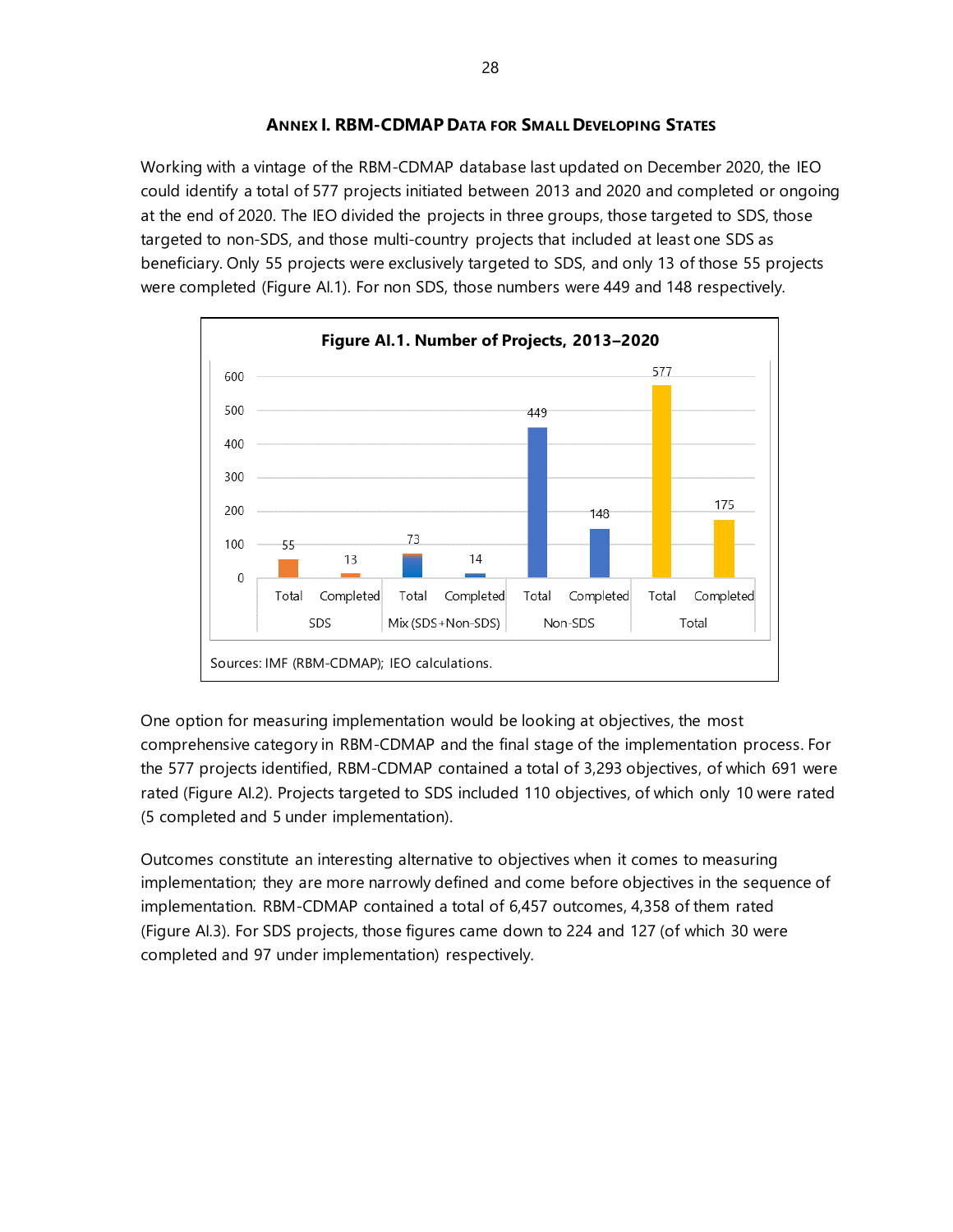## **ANNEX I. RBM-CDMAP DATA FOR SMALL DEVELOPING STATES**

Working with a vintage of the RBM-CDMAP database last updated on December 2020, the IEO could identify a total of 577 projects initiated between 2013 and 2020 and completed or ongoing at the end of 2020. The IEO divided the projects in three groups, those targeted to SDS, those targeted to non-SDS, and those multi-country projects that included at least one SDS as beneficiary. Only 55 projects were exclusively targeted to SDS, and only 13 of those 55 projects were completed (Figure AI.1). For non SDS, those numbers were 449 and 148 respectively.



One option for measuring implementation would be looking at objectives, the most comprehensive category in RBM-CDMAP and the final stage of the implementation process. For the 577 projects identified, RBM-CDMAP contained a total of 3,293 objectives, of which 691 were rated (Figure AI.2). Projects targeted to SDS included 110 objectives, of which only 10 were rated (5 completed and 5 under implementation).

Outcomes constitute an interesting alternative to objectives when it comes to measuring implementation; they are more narrowly defined and come before objectives in the sequence of implementation. RBM-CDMAP contained a total of 6,457 outcomes, 4,358 of them rated (Figure AI.3). For SDS projects, those figures came down to 224 and 127 (of which 30 were completed and 97 under implementation) respectively.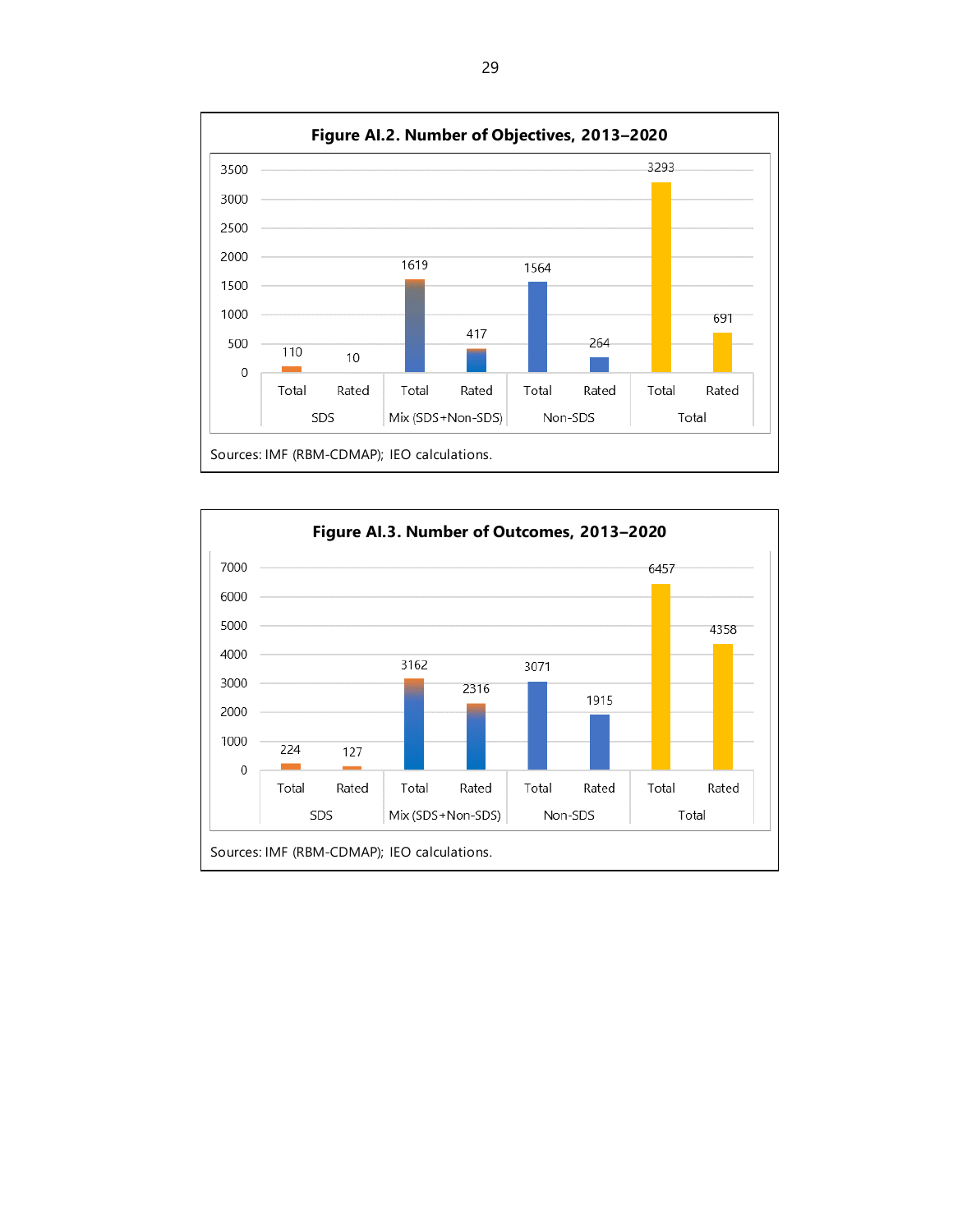

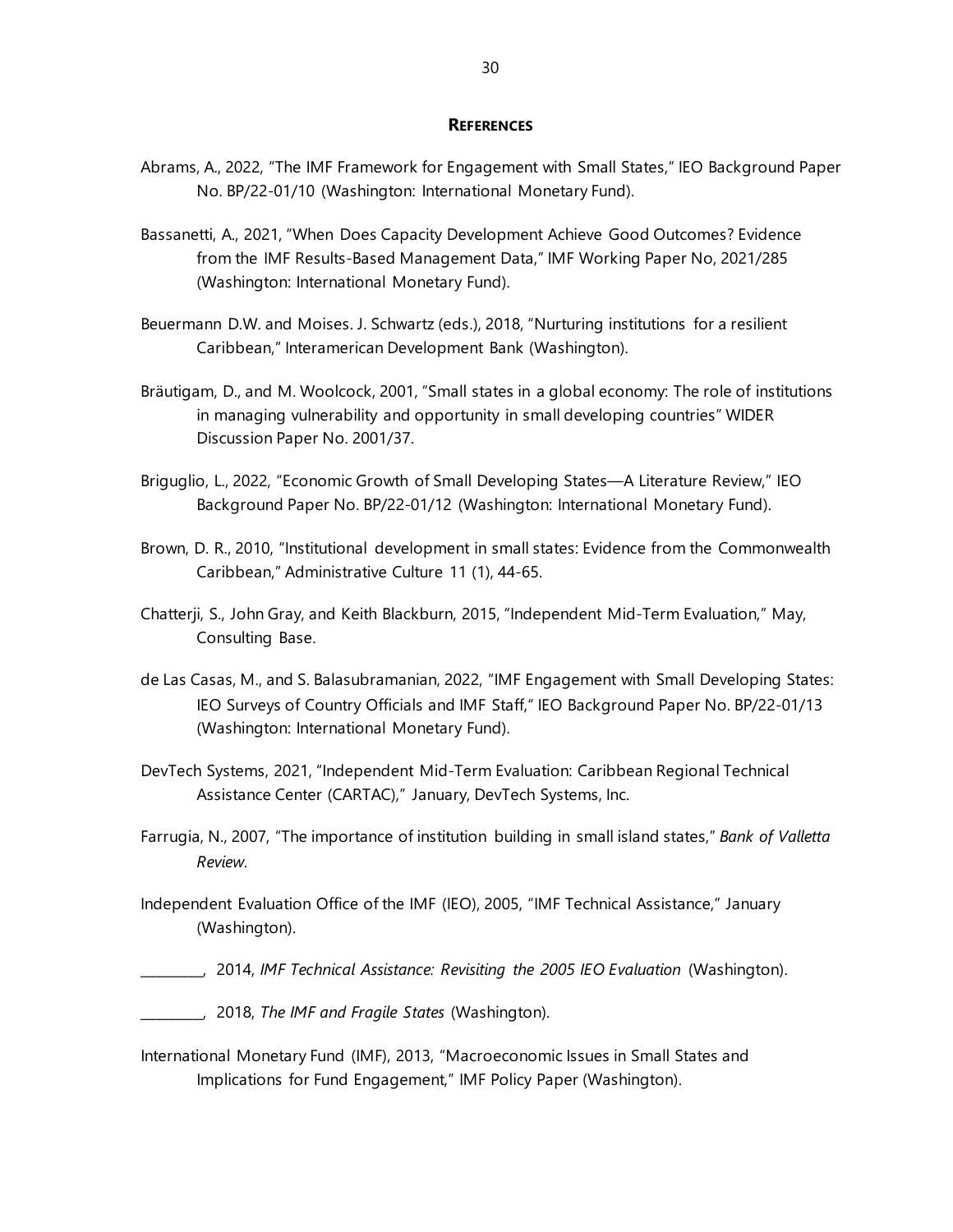#### **REFERENCES**

- Abrams, A., 2022, "The IMF Framework for Engagement with Small States," IEO Background Paper No. BP/22-01/10 (Washington: International Monetary Fund).
- Bassanetti, A., 2021, "When Does Capacity Development Achieve Good Outcomes? Evidence from the IMF Results-Based Management Data," IMF Working Paper No, 2021/285 (Washington: International Monetary Fund).
- Beuermann D.W. and Moises. J. Schwartz (eds.), 2018, "Nurturing institutions for a resilient Caribbean," Interamerican Development Bank (Washington).
- Bräutigam, D., and M. Woolcock, 2001, "Small states in a global economy: The role of institutions in managing vulnerability and opportunity in small developing countries" WIDER Discussion Paper No. 2001/37.
- Briguglio, L., 2022, "Economic Growth of Small Developing States—A Literature Review," IEO Background Paper No. BP/22-01/12 (Washington: International Monetary Fund).
- Brown, D. R., 2010, "Institutional development in small states: Evidence from the Commonwealth Caribbean," Administrative Culture 11 (1), 44-65.
- Chatterji, S., John Gray, and Keith Blackburn, 2015, "Independent Mid-Term Evaluation," May, Consulting Base.
- de Las Casas, M., and S. Balasubramanian, 2022, "IMF Engagement with Small Developing States: IEO Surveys of Country Officials and IMF Staff," IEO Background Paper No. BP/22-01/13 (Washington: International Monetary Fund).
- DevTech Systems, 2021, "Independent Mid-Term Evaluation: Caribbean Regional Technical Assistance Center (CARTAC)," January, DevTech Systems, Inc.
- Farrugia, N., 2007, "The importance of institution building in small island states," *Bank of Valletta Review*.
- Independent Evaluation Office of the IMF (IEO), 2005, "IMF Technical Assistance," January (Washington).
	- \_\_\_\_\_\_\_\_\_\_, 2014, *IMF Technical Assistance: Revisiting the 2005 IEO Evaluation* (Washington).
- \_\_\_\_\_\_\_\_\_\_, 2018, *The IMF and Fragile States* (Washington).
- International Monetary Fund (IMF), 2013, "Macroeconomic Issues in Small States and Implications for Fund Engagement," IMF Policy Paper (Washington).